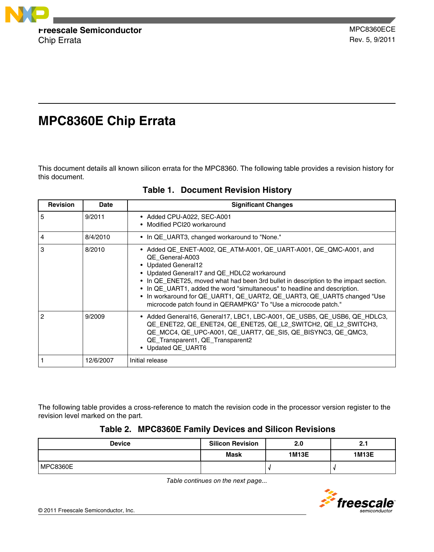

# **MPC8360E Chip Errata**

This document details all known silicon errata for the MPC8360. The following table provides a revision history for this document.

| <b>Revision</b> | Date      | <b>Significant Changes</b>                                                                                                                                                                                                                                                                                                                                                                                                                                                   |
|-----------------|-----------|------------------------------------------------------------------------------------------------------------------------------------------------------------------------------------------------------------------------------------------------------------------------------------------------------------------------------------------------------------------------------------------------------------------------------------------------------------------------------|
| 5               | 9/2011    | • Added CPU-A022, SEC-A001<br>• Modified PCI20 workaround                                                                                                                                                                                                                                                                                                                                                                                                                    |
| 4               | 8/4/2010  | • In QE_UART3, changed workaround to "None."                                                                                                                                                                                                                                                                                                                                                                                                                                 |
| 3               | 8/2010    | • Added QE_ENET-A002, QE_ATM-A001, QE_UART-A001, QE_QMC-A001, and<br>QE General-A003<br>• Updated General12<br>• Updated General17 and QE_HDLC2 workaround<br>• In QE_ENET25, moved what had been 3rd bullet in description to the impact section.<br>• In QE_UART1, added the word "simultaneous" to headline and description.<br>• In workaround for QE_UART1, QE_UART2, QE_UART3, QE_UART5 changed "Use<br>microcode patch found in QERAMPKG" To "Use a microcode patch." |
| 2               | 9/2009    | • Added General16, General17, LBC1, LBC-A001, QE USB5, QE USB6, QE HDLC3,<br>QE_ENET22, QE_ENET24, QE_ENET25, QE_L2_SWITCH2, QE_L2_SWITCH3,<br>QE MCC4, QE UPC-A001, QE UART7, QE SI5, QE BISYNC3, QE QMC3,<br>QE_Transparent1, QE_Transparent2<br>• Updated QE_UART6                                                                                                                                                                                                        |
|                 | 12/6/2007 | Initial release                                                                                                                                                                                                                                                                                                                                                                                                                                                              |

**Table 1. Document Revision History**

The following table provides a cross-reference to match the revision code in the processor version register to the revision level marked on the part.

### **Table 2. MPC8360E Family Devices and Silicon Revisions**

| <b>Device</b>   | <b>Silicon Revision</b> | 2.0          | 2.1          |
|-----------------|-------------------------|--------------|--------------|
|                 | <b>Mask</b>             | <b>1M13E</b> | <b>1M13E</b> |
| <b>MPC8360E</b> |                         |              |              |

*Table continues on the next page...*

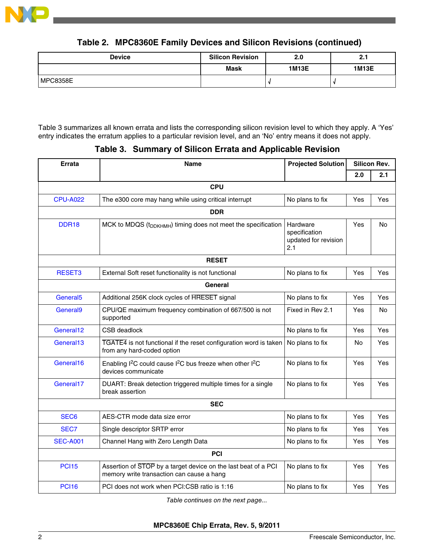

# **Table 2. MPC8360E Family Devices and Silicon Revisions (continued)**

| <b>Device</b>   | <b>Silicon Revision</b> | 2.0          | 2.1          |
|-----------------|-------------------------|--------------|--------------|
|                 | <b>Mask</b>             | <b>1M13E</b> | <b>1M13E</b> |
| <b>MPC8358E</b> |                         |              |              |

Table 3 summarizes all known errata and lists the corresponding silicon revision level to which they apply. A 'Yes' entry indicates the erratum applies to a particular revision level, and an 'No' entry means it does not apply.

# **Table 3. Summary of Silicon Errata and Applicable Revision**

| <b>Errata</b>        | <b>Name</b>                                                                                                          | <b>Projected Solution</b>                                | <b>Silicon Rev.</b> |     |  |  |
|----------------------|----------------------------------------------------------------------------------------------------------------------|----------------------------------------------------------|---------------------|-----|--|--|
|                      |                                                                                                                      |                                                          | 2.0                 | 2.1 |  |  |
|                      | <b>CPU</b>                                                                                                           |                                                          |                     |     |  |  |
| <b>CPU-A022</b>      | The e300 core may hang while using critical interrupt                                                                | No plans to fix                                          | Yes                 | Yes |  |  |
|                      | <b>DDR</b>                                                                                                           |                                                          |                     |     |  |  |
| DDR <sub>18</sub>    | MCK to MDQS (t <sub>DDKHMH</sub> ) timing does not meet the specification                                            | Hardware<br>specification<br>updated for revision<br>2.1 | Yes                 | No  |  |  |
|                      | <b>RESET</b>                                                                                                         |                                                          |                     |     |  |  |
| RESET3               | External Soft reset functionality is not functional                                                                  | No plans to fix                                          | Yes                 | Yes |  |  |
|                      | General                                                                                                              |                                                          |                     |     |  |  |
| General <sub>5</sub> | Additional 256K clock cycles of HRESET signal                                                                        | No plans to fix                                          | Yes                 | Yes |  |  |
| General <sub>9</sub> | CPU/QE maximum frequency combination of 667/500 is not<br>supported                                                  | Fixed in Rev 2.1                                         | Yes                 | No  |  |  |
| General12            | CSB deadlock                                                                                                         | No plans to fix                                          | Yes                 | Yes |  |  |
| General13            | TGATE4 is not functional if the reset configuration word is taken<br>from any hard-coded option                      | No plans to fix                                          | No                  | Yes |  |  |
| General16            | Enabling I <sup>2</sup> C could cause I <sup>2</sup> C bus freeze when other I <sup>2</sup> C<br>devices communicate | No plans to fix                                          | Yes                 | Yes |  |  |
| General17            | DUART: Break detection triggered multiple times for a single<br>break assertion                                      | No plans to fix                                          | Yes                 | Yes |  |  |
|                      | <b>SEC</b>                                                                                                           |                                                          |                     |     |  |  |
| SEC <sub>6</sub>     | AES-CTR mode data size error                                                                                         | No plans to fix                                          | Yes                 | Yes |  |  |
| SEC7                 | Single descriptor SRTP error                                                                                         | No plans to fix                                          | Yes                 | Yes |  |  |
| <b>SEC-A001</b>      | Channel Hang with Zero Length Data                                                                                   | No plans to fix                                          | Yes                 | Yes |  |  |
|                      | PCI                                                                                                                  |                                                          |                     |     |  |  |
| <b>PCI15</b>         | Assertion of STOP by a target device on the last beat of a PCI<br>memory write transaction can cause a hang          | No plans to fix                                          | Yes                 | Yes |  |  |
| <b>PCI16</b>         | PCI does not work when PCI:CSB ratio is 1:16                                                                         | No plans to fix                                          | Yes                 | Yes |  |  |

*Table continues on the next page...*

**MPC8360E Chip Errata, Rev. 5, 9/2011**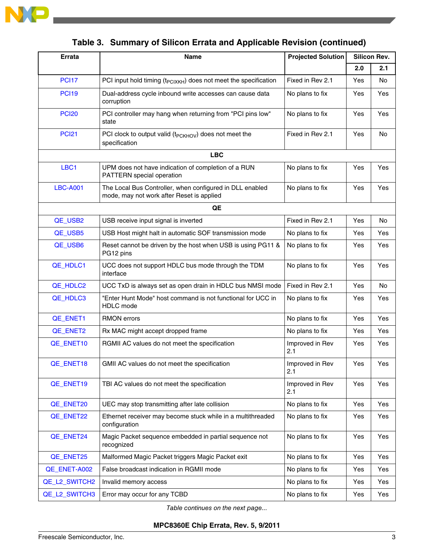

| Errata          | Name                                                                                                  | <b>Projected Solution</b> | <b>Silicon Rev.</b> |     |
|-----------------|-------------------------------------------------------------------------------------------------------|---------------------------|---------------------|-----|
|                 |                                                                                                       |                           | 2.0                 | 2.1 |
| <b>PCI17</b>    | PCI input hold timing (t <sub>PCIXKH</sub> ) does not meet the specification                          | Fixed in Rev 2.1          | Yes                 | No  |
| <b>PCI19</b>    | Dual-address cycle inbound write accesses can cause data<br>corruption                                | No plans to fix           | Yes                 | Yes |
| <b>PCI20</b>    | PCI controller may hang when returning from "PCI pins low"<br>state                                   | No plans to fix           | Yes                 | Yes |
| <b>PCI21</b>    | PCI clock to output valid ( $t_{PCKHOV}$ ) does not meet the<br>specification                         | Fixed in Rev 2.1          | Yes                 | No  |
|                 | <b>LBC</b>                                                                                            |                           |                     |     |
| LBC1            | UPM does not have indication of completion of a RUN<br>PATTERN special operation                      | No plans to fix           | Yes                 | Yes |
| <b>LBC-A001</b> | The Local Bus Controller, when configured in DLL enabled<br>mode, may not work after Reset is applied | No plans to fix           | Yes                 | Yes |
|                 | QE                                                                                                    |                           |                     |     |
| QE_USB2         | USB receive input signal is inverted                                                                  | Fixed in Rev 2.1          | Yes                 | No  |
| QE_USB5         | USB Host might halt in automatic SOF transmission mode                                                | No plans to fix           | Yes                 | Yes |
| QE_USB6         | Reset cannot be driven by the host when USB is using PG11 &<br>PG12 pins                              | No plans to fix           | Yes                 | Yes |
| QE_HDLC1        | UCC does not support HDLC bus mode through the TDM<br>interface                                       | No plans to fix           | Yes                 | Yes |
| QE_HDLC2        | UCC TxD is always set as open drain in HDLC bus NMSI mode                                             | Fixed in Rev 2.1          | Yes                 | No  |
| QE_HDLC3        | "Enter Hunt Mode" host command is not functional for UCC in<br>HDLC mode                              | No plans to fix           | Yes                 | Yes |
| QE_ENET1        | <b>RMON</b> errors                                                                                    | No plans to fix           | Yes                 | Yes |
| QE_ENET2        | Rx MAC might accept dropped frame                                                                     | No plans to fix           | Yes                 | Yes |
| QE_ENET10       | RGMII AC values do not meet the specification                                                         | Improved in Rev<br>2.1    | Yes                 | Yes |
| QE_ENET18       | GMII AC values do not meet the specification                                                          | Improved in Rev<br>2.1    | Yes                 | Yes |
| QE_ENET19       | TBI AC values do not meet the specification                                                           | Improved in Rev<br>2.1    | Yes                 | Yes |
| QE_ENET20       | UEC may stop transmitting after late collision                                                        | No plans to fix           | Yes                 | Yes |
| QE_ENET22       | Ethernet receiver may become stuck while in a multithreaded<br>configuration                          | No plans to fix           | Yes                 | Yes |
| QE_ENET24       | Magic Packet sequence embedded in partial sequence not<br>recognized                                  | No plans to fix           | Yes                 | Yes |
| QE_ENET25       | Malformed Magic Packet triggers Magic Packet exit                                                     | No plans to fix           | Yes                 | Yes |
| QE_ENET-A002    | False broadcast indication in RGMII mode                                                              | No plans to fix           | Yes                 | Yes |
| QE_L2_SWITCH2   | Invalid memory access                                                                                 | No plans to fix           | Yes                 | Yes |
| QE_L2_SWITCH3   | Error may occur for any TCBD                                                                          | No plans to fix           | Yes                 | Yes |

**Table 3. Summary of Silicon Errata and Applicable Revision (continued)**

*Table continues on the next page...*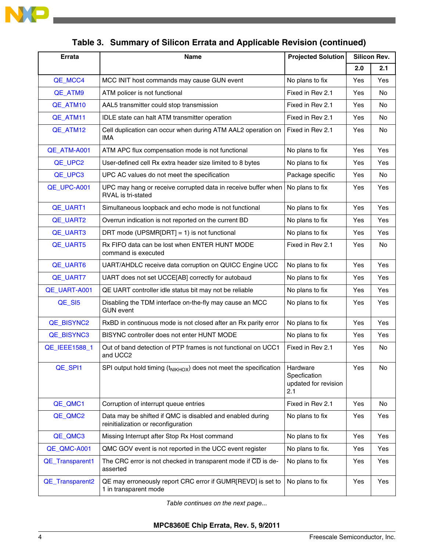

| Errata          | Name                                                                                             | <b>Projected Solution</b>                               | <b>Silicon Rev.</b> |     |
|-----------------|--------------------------------------------------------------------------------------------------|---------------------------------------------------------|---------------------|-----|
|                 |                                                                                                  |                                                         | 2.0                 | 2.1 |
| QE_MCC4         | MCC INIT host commands may cause GUN event                                                       | No plans to fix                                         | Yes                 | Yes |
| QE ATM9         | ATM policer is not functional                                                                    | Fixed in Rev 2.1                                        | Yes                 | No  |
| QE_ATM10        | AAL5 transmitter could stop transmission                                                         | Fixed in Rev 2.1                                        | Yes                 | No  |
| QE_ATM11        | <b>IDLE</b> state can halt ATM transmitter operation                                             | Fixed in Rev 2.1                                        | Yes                 | No  |
| QE_ATM12        | Cell duplication can occur when during ATM AAL2 operation on<br>IMA                              | Fixed in Rev 2.1                                        | Yes                 | No  |
| QE_ATM-A001     | ATM APC flux compensation mode is not functional                                                 | No plans to fix                                         | Yes                 | Yes |
| QE_UPC2         | User-defined cell Rx extra header size limited to 8 bytes                                        | No plans to fix                                         | Yes                 | Yes |
| QE_UPC3         | UPC AC values do not meet the specification                                                      | Package specific                                        | Yes                 | No. |
| QE_UPC-A001     | UPC may hang or receive corrupted data in receive buffer when<br><b>RVAL</b> is tri-stated       | No plans to fix                                         | Yes                 | Yes |
| QE_UART1        | Simultaneous loopback and echo mode is not functional                                            | No plans to fix                                         | Yes                 | Yes |
| QE_UART2        | Overrun indication is not reported on the current BD                                             | No plans to fix                                         | Yes                 | Yes |
| QE_UART3        | DRT mode (UPSMR[DRT] = 1) is not functional                                                      | No plans to fix                                         | Yes                 | Yes |
| QE_UART5        | Rx FIFO data can be lost when ENTER HUNT MODE<br>command is executed                             | Fixed in Rev 2.1                                        | Yes                 | No  |
| QE_UART6        | UART/AHDLC receive data corruption on QUICC Engine UCC                                           | No plans to fix                                         | Yes                 | Yes |
| QE_UART7        | UART does not set UCCE[AB] correctly for autobaud                                                | No plans to fix                                         | Yes                 | Yes |
| QE_UART-A001    | QE UART controller idle status bit may not be reliable                                           | No plans to fix                                         | Yes                 | Yes |
| QE_SI5          | Disabling the TDM interface on-the-fly may cause an MCC<br><b>GUN event</b>                      | No plans to fix                                         | Yes                 | Yes |
| QE_BISYNC2      | RxBD in continuous mode is not closed after an Rx parity error                                   | No plans to fix                                         | Yes                 | Yes |
| QE_BISYNC3      | BISYNC controller does not enter HUNT MODE                                                       | No plans to fix                                         | Yes                 | Yes |
| QE_IEEE1588_1   | Out of band detection of PTP frames is not functional on UCC1<br>and UCC2                        | Fixed in Rev 2.1                                        | Yes                 | No  |
| QE_SPI1         | SPI output hold timing (t <sub>NIKHOX</sub> ) does not meet the specification                    | Hardware<br>Specfication<br>updated for revision<br>2.1 | Yes                 | No  |
| QE_QMC1         | Corruption of interrupt queue entries                                                            | Fixed in Rev 2.1                                        | Yes                 | No  |
| QE_QMC2         | Data may be shifted if QMC is disabled and enabled during<br>reinitialization or reconfiguration | No plans to fix                                         | Yes                 | Yes |
| QE_QMC3         | Missing Interrupt after Stop Rx Host command                                                     | No plans to fix                                         | Yes                 | Yes |
| QE_QMC-A001     | QMC GOV event is not reported in the UCC event register                                          | No plans to fix.                                        | Yes                 | Yes |
| QE_Transparent1 | The CRC error is not checked in transparent mode if $\overline{CD}$ is de-<br>asserted           | No plans to fix                                         | Yes                 | Yes |
| QE_Transparent2 | QE may erroneously report CRC error if GUMR[REVD] is set to<br>1 in transparent mode             | No plans to fix                                         | Yes                 | Yes |

**Table 3. Summary of Silicon Errata and Applicable Revision (continued)**

*Table continues on the next page...*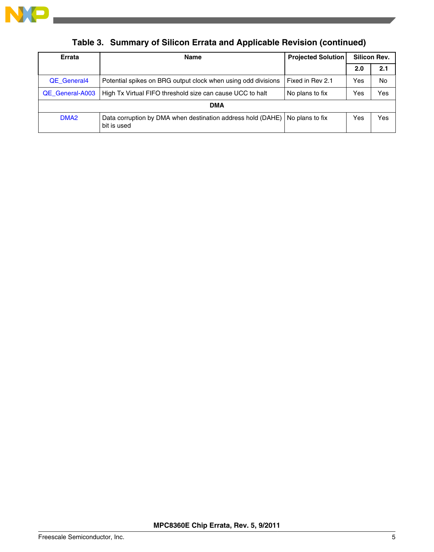

| Errata           | <b>Name</b>                                                                | <b>Projected Solution</b> | <b>Silicon Rev.</b> |     |
|------------------|----------------------------------------------------------------------------|---------------------------|---------------------|-----|
|                  |                                                                            |                           | 2.0                 | 2.1 |
| QE General4      | Potential spikes on BRG output clock when using odd divisions              | Fixed in Rev 2.1          | Yes                 | No  |
| QE General-A003  | High Tx Virtual FIFO threshold size can cause UCC to halt                  | No plans to fix           | Yes                 | Yes |
| <b>DMA</b>       |                                                                            |                           |                     |     |
| DMA <sub>2</sub> | Data corruption by DMA when destination address hold (DAHE)<br>bit is used | No plans to fix           | Yes                 | Yes |

**Table 3. Summary of Silicon Errata and Applicable Revision (continued)**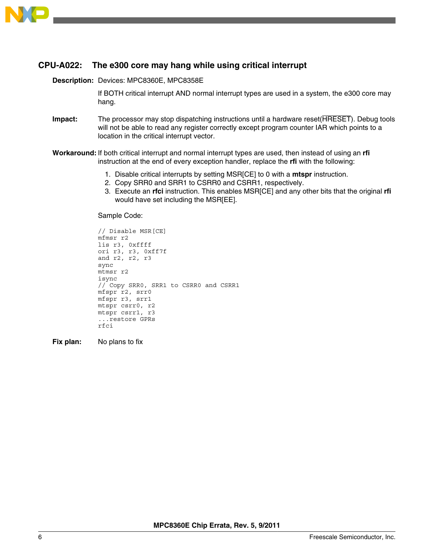<span id="page-5-0"></span>

### **CPU-A022: The e300 core may hang while using critical interrupt**

**Description:** Devices: MPC8360E, MPC8358E

If BOTH critical interrupt AND normal interrupt types are used in a system, the e300 core may hang.

- **Impact:** The processor may stop dispatching instructions until a hardware reset(HRESET). Debug tools will not be able to read any register correctly except program counter IAR which points to a location in the critical interrupt vector.
- **Workaround:** If both critical interrupt and normal interrupt types are used, then instead of using an **rfi** instruction at the end of every exception handler, replace the **rfi** with the following:
	- 1. Disable critical interrupts by setting MSR[CE] to 0 with a **mtspr** instruction.
	- 2. Copy SRR0 and SRR1 to CSRR0 and CSRR1, respectively.
	- 3. Execute an **rfci** instruction. This enables MSR[CE] and any other bits that the original **rfi** would have set including the MSR[EE].

Sample Code:

```
// Disable MSR[CE] 
mfmsr r2 
lis r3, 0xffff
ori r3, r3, 0xff7f 
and r2, r2, r3 
sync 
mtmsr r2 
isync
// Copy SRR0, SRR1 to CSRR0 and CSRR1 
mfspr r2, srr0 
mfspr r3, srr1 
mtspr csrr0, r2 
mtspr csrr1, r3 
...restore GPRs 
rfci
```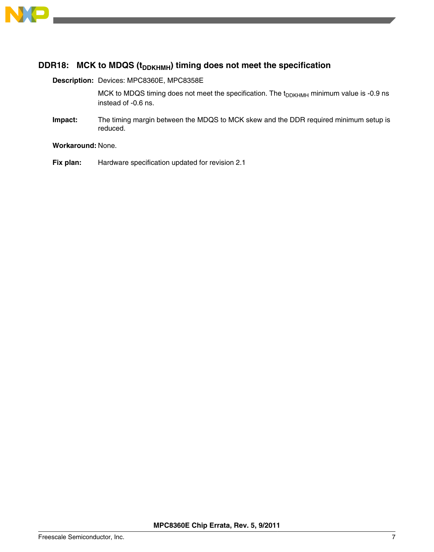<span id="page-6-0"></span>

### **DDR18:** MCK to MDQS ( $t$ <sub>DDKHMH</sub>) timing does not meet the specification

**Description:** Devices: MPC8360E, MPC8358E

MCK to MDQS timing does not meet the specification. The  $t_{DDKHMH}$  minimum value is -0.9 ns instead of -0.6 ns.

**Impact:** The timing margin between the MDQS to MCK skew and the DDR required minimum setup is reduced.

**Workaround:** None.

**Fix plan:** Hardware specification updated for revision 2.1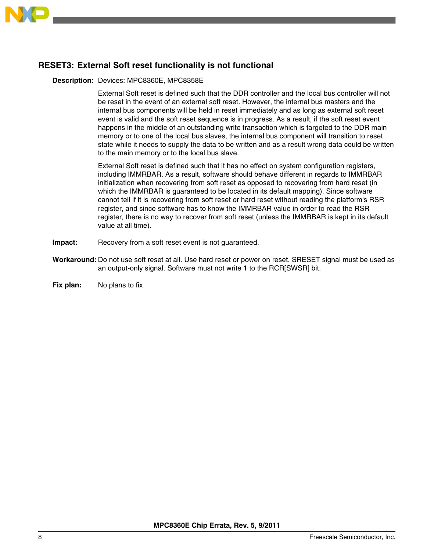<span id="page-7-0"></span>

# **RESET3: External Soft reset functionality is not functional**

#### **Description:** Devices: MPC8360E, MPC8358E

External Soft reset is defined such that the DDR controller and the local bus controller will not be reset in the event of an external soft reset. However, the internal bus masters and the internal bus components will be held in reset immediately and as long as external soft reset event is valid and the soft reset sequence is in progress. As a result, if the soft reset event happens in the middle of an outstanding write transaction which is targeted to the DDR main memory or to one of the local bus slaves, the internal bus component will transition to reset state while it needs to supply the data to be written and as a result wrong data could be written to the main memory or to the local bus slave.

External Soft reset is defined such that it has no effect on system configuration registers, including IMMRBAR. As a result, software should behave different in regards to IMMRBAR initialization when recovering from soft reset as opposed to recovering from hard reset (in which the IMMRBAR is guaranteed to be located in its default mapping). Since software cannot tell if it is recovering from soft reset or hard reset without reading the platform's RSR register, and since software has to know the IMMRBAR value in order to read the RSR register, there is no way to recover from soft reset (unless the IMMRBAR is kept in its default value at all time).

- **Impact:** Recovery from a soft reset event is not guaranteed.
- **Workaround:** Do not use soft reset at all. Use hard reset or power on reset. SRESET signal must be used as an output-only signal. Software must not write 1 to the RCR[SWSR] bit.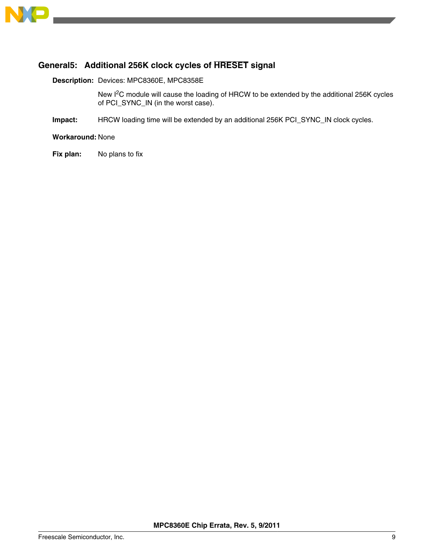<span id="page-8-0"></span>

## **General5: Additional 256K clock cycles of HRESET signal**

**Description:** Devices: MPC8360E, MPC8358E

New I<sup>2</sup>C module will cause the loading of HRCW to be extended by the additional 256K cycles of PCI\_SYNC\_IN (in the worst case).

**Impact:** HRCW loading time will be extended by an additional 256K PCI\_SYNC\_IN clock cycles.

**Workaround:** None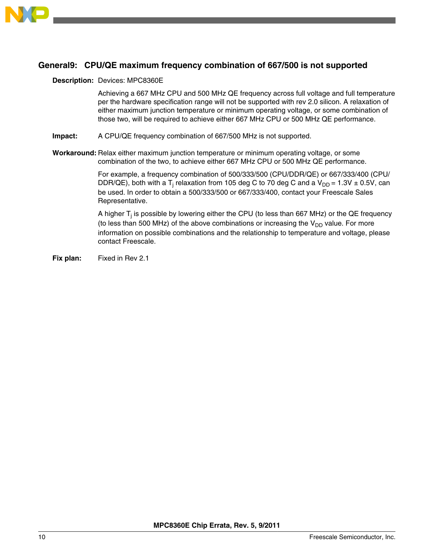<span id="page-9-0"></span>

### **General9: CPU/QE maximum frequency combination of 667/500 is not supported**

#### **Description:** Devices: MPC8360E

Achieving a 667 MHz CPU and 500 MHz QE frequency across full voltage and full temperature per the hardware specification range will not be supported with rev 2.0 silicon. A relaxation of either maximum junction temperature or minimum operating voltage, or some combination of those two, will be required to achieve either 667 MHz CPU or 500 MHz QE performance.

- **Impact:** A CPU/QE frequency combination of 667/500 MHz is not supported.
- **Workaround:** Relax either maximum junction temperature or minimum operating voltage, or some combination of the two, to achieve either 667 MHz CPU or 500 MHz QE performance.

For example, a frequency combination of 500/333/500 (CPU/DDR/QE) or 667/333/400 (CPU/ DDR/QE), both with a T<sub>j</sub> relaxation from 105 deg C to 70 deg C and a V<sub>DD</sub> = 1.3V  $\pm$  0.5V, can be used. In order to obtain a 500/333/500 or 667/333/400, contact your Freescale Sales Representative.

A higher T<sub>j</sub> is possible by lowering either the CPU (to less than 667 MHz) or the QE frequency (to less than 500 MHz) of the above combinations or increasing the  $V_{DD}$  value. For more information on possible combinations and the relationship to temperature and voltage, please contact Freescale.

**Fix plan:** Fixed in Rev 2.1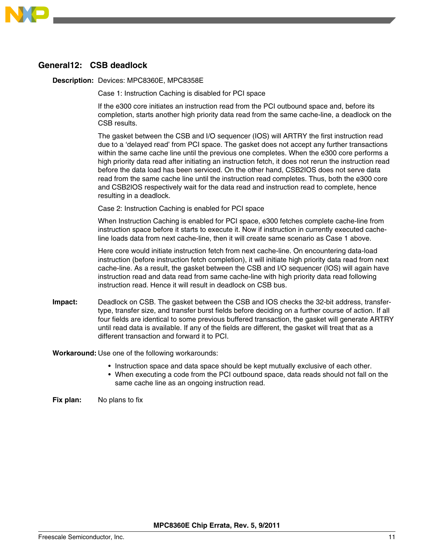<span id="page-10-0"></span>

### **General12: CSB deadlock**

**Description:** Devices: MPC8360E, MPC8358E

Case 1: Instruction Caching is disabled for PCI space

If the e300 core initiates an instruction read from the PCI outbound space and, before its completion, starts another high priority data read from the same cache-line, a deadlock on the CSB results.

The gasket between the CSB and I/O sequencer (IOS) will ARTRY the first instruction read due to a 'delayed read' from PCI space. The gasket does not accept any further transactions within the same cache line until the previous one completes. When the e300 core performs a high priority data read after initiating an instruction fetch, it does not rerun the instruction read before the data load has been serviced. On the other hand, CSB2IOS does not serve data read from the same cache line until the instruction read completes. Thus, both the e300 core and CSB2IOS respectively wait for the data read and instruction read to complete, hence resulting in a deadlock.

Case 2: Instruction Caching is enabled for PCI space

When Instruction Caching is enabled for PCI space, e300 fetches complete cache-line from instruction space before it starts to execute it. Now if instruction in currently executed cacheline loads data from next cache-line, then it will create same scenario as Case 1 above.

Here core would initiate instruction fetch from next cache-line. On encountering data-load instruction (before instruction fetch completion), it will initiate high priority data read from next cache-line. As a result, the gasket between the CSB and I/O sequencer (IOS) will again have instruction read and data read from same cache-line with high priority data read following instruction read. Hence it will result in deadlock on CSB bus.

**Impact:** Deadlock on CSB. The gasket between the CSB and IOS checks the 32-bit address, transfertype, transfer size, and transfer burst fields before deciding on a further course of action. If all four fields are identical to some previous buffered transaction, the gasket will generate ARTRY until read data is available. If any of the fields are different, the gasket will treat that as a different transaction and forward it to PCI.

**Workaround:** Use one of the following workarounds:

- Instruction space and data space should be kept mutually exclusive of each other.
- When executing a code from the PCI outbound space, data reads should not fall on the same cache line as an ongoing instruction read.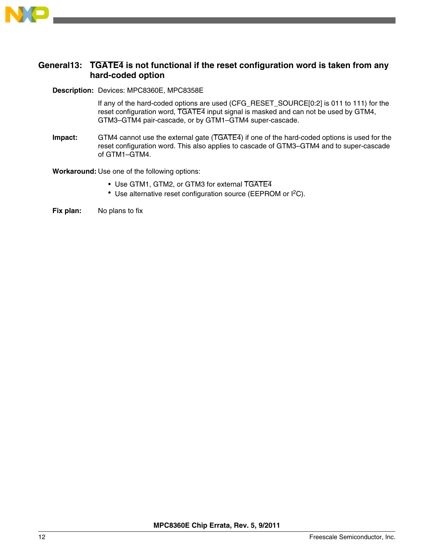<span id="page-11-0"></span>

### **General13: TGATE4 is not functional if the reset configuration word is taken from any hard-coded option**

### **Description:** Devices: MPC8360E, MPC8358E

If any of the hard-coded options are used (CFG\_RESET\_SOURCE[0:2] is 011 to 111) for the reset configuration word, TGATE4 input signal is masked and can not be used by GTM4, GTM3–GTM4 pair-cascade, or by GTM1–GTM4 super-cascade.

**Impact:** GTM4 cannot use the external gate (TGATE4) if one of the hard-coded options is used for the reset configuration word. This also applies to cascade of GTM3–GTM4 and to super-cascade of GTM1–GTM4.

**Workaround:** Use one of the following options:

- Use GTM1, GTM2, or GTM3 for external TGATE4
- Use alternative reset configuration source (EEPROM or  $I^2C$ ).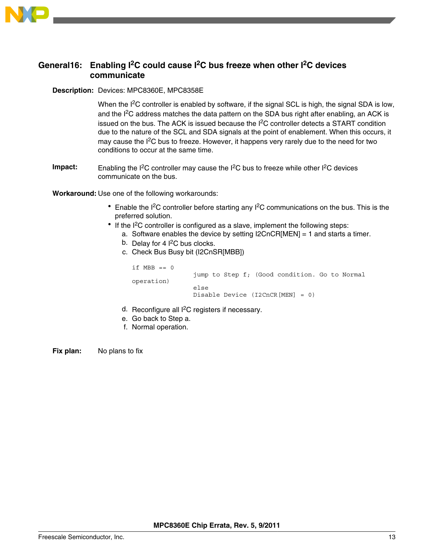<span id="page-12-0"></span>

### **General16: Enabling I2C could cause I2C bus freeze when other I2C devices communicate**

#### **Description:** Devices: MPC8360E, MPC8358E

When the I<sup>2</sup>C controller is enabled by software, if the signal SCL is high, the signal SDA is low, and the I<sup>2</sup>C address matches the data pattern on the SDA bus right after enabling, an ACK is issued on the bus. The ACK is issued because the  $I<sup>2</sup>C$  controller detects a START condition due to the nature of the SCL and SDA signals at the point of enablement. When this occurs, it may cause the  $I^2C$  bus to freeze. However, it happens very rarely due to the need for two conditions to occur at the same time.

**Impact:** Enabling the I<sup>2</sup>C controller may cause the I<sup>2</sup>C bus to freeze while other I<sup>2</sup>C devices communicate on the bus.

**Workaround:** Use one of the following workarounds:

- Enable the  $I^2C$  controller before starting any  $I^2C$  communications on the bus. This is the preferred solution.
- If the I<sup>2</sup>C controller is configured as a slave, implement the following steps:
	- a. Software enables the device by setting  $|2CnCR[MEN] = 1$  and starts a timer.
	- b. Delay for 4  $1<sup>2</sup>C$  bus clocks.
	- c. Check Bus Busy bit (I2CnSR[MBB])

if  $MBB == 0$  jump to Step f; (Good condition. Go to Normal operation) else Disable Device (I2CnCR[MEN] = 0)

- d. Reconfigure all I<sup>2</sup>C registers if necessary.
- e. Go back to Step a.
- f. Normal operation.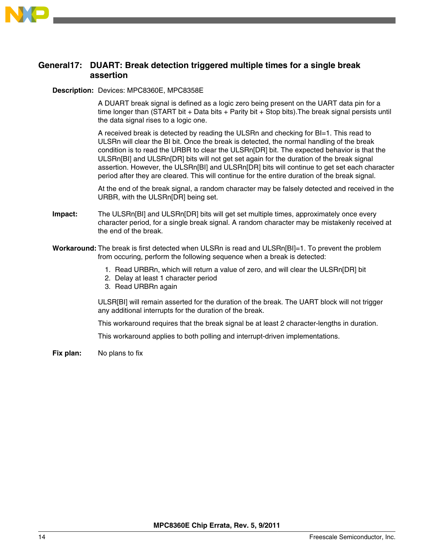<span id="page-13-0"></span>

### **General17: DUART: Break detection triggered multiple times for a single break assertion**

#### **Description:** Devices: MPC8360E, MPC8358E

A DUART break signal is defined as a logic zero being present on the UART data pin for a time longer than (START bit + Data bits + Parity bit + Stop bits).The break signal persists until the data signal rises to a logic one.

A received break is detected by reading the ULSRn and checking for BI=1. This read to ULSRn will clear the BI bit. Once the break is detected, the normal handling of the break condition is to read the URBR to clear the ULSRn[DR] bit. The expected behavior is that the ULSRn[BI] and ULSRn[DR] bits will not get set again for the duration of the break signal assertion. However, the ULSRn[BI] and ULSRn[DR] bits will continue to get set each character period after they are cleared. This will continue for the entire duration of the break signal.

At the end of the break signal, a random character may be falsely detected and received in the URBR, with the ULSRn[DR] being set.

- **Impact:** The ULSRn[BI] and ULSRn[DR] bits will get set multiple times, approximately once every character period, for a single break signal. A random character may be mistakenly received at the end of the break.
- **Workaround:** The break is first detected when ULSRn is read and ULSRn[BI]=1. To prevent the problem from occuring, perform the following sequence when a break is detected:
	- 1. Read URBRn, which will return a value of zero, and will clear the ULSRn[DR] bit
	- 2. Delay at least 1 character period
	- 3. Read URBRn again

ULSR[BI] will remain asserted for the duration of the break. The UART block will not trigger any additional interrupts for the duration of the break.

This workaround requires that the break signal be at least 2 character-lengths in duration.

This workaround applies to both polling and interrupt-driven implementations.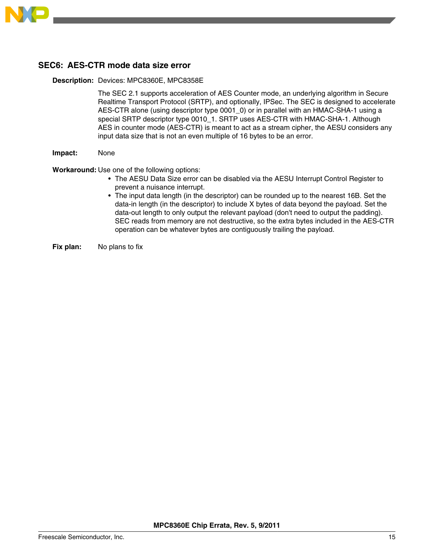<span id="page-14-0"></span>

### **SEC6: AES-CTR mode data size error**

#### **Description:** Devices: MPC8360E, MPC8358E

The SEC 2.1 supports acceleration of AES Counter mode, an underlying algorithm in Secure Realtime Transport Protocol (SRTP), and optionally, IPSec. The SEC is designed to accelerate AES-CTR alone (using descriptor type 0001\_0) or in parallel with an HMAC-SHA-1 using a special SRTP descriptor type 0010 1. SRTP uses AES-CTR with HMAC-SHA-1. Although AES in counter mode (AES-CTR) is meant to act as a stream cipher, the AESU considers any input data size that is not an even multiple of 16 bytes to be an error.

#### **Impact:** None

**Workaround:** Use one of the following options:

- The AESU Data Size error can be disabled via the AESU Interrupt Control Register to prevent a nuisance interrupt.
- The input data length (in the descriptor) can be rounded up to the nearest 16B. Set the data-in length (in the descriptor) to include X bytes of data beyond the payload. Set the data-out length to only output the relevant payload (don't need to output the padding). SEC reads from memory are not destructive, so the extra bytes included in the AES-CTR operation can be whatever bytes are contiguously trailing the payload.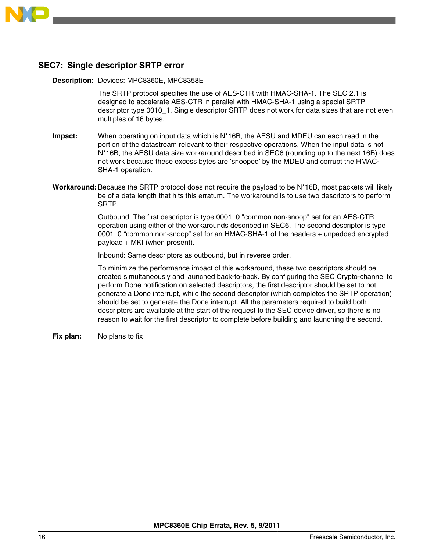<span id="page-15-0"></span>

### **SEC7: Single descriptor SRTP error**

#### **Description:** Devices: MPC8360E, MPC8358E

The SRTP protocol specifies the use of AES-CTR with HMAC-SHA-1. The SEC 2.1 is designed to accelerate AES-CTR in parallel with HMAC-SHA-1 using a special SRTP descriptor type 0010\_1. Single descriptor SRTP does not work for data sizes that are not even multiples of 16 bytes.

- **Impact:** When operating on input data which is N\*16B, the AESU and MDEU can each read in the portion of the datastream relevant to their respective operations. When the input data is not N\*16B, the AESU data size workaround described in SEC6 (rounding up to the next 16B) does not work because these excess bytes are 'snooped' by the MDEU and corrupt the HMAC-SHA-1 operation.
- **Workaround:** Because the SRTP protocol does not require the payload to be N\*16B, most packets will likely be of a data length that hits this erratum. The workaround is to use two descriptors to perform SRTP.

Outbound: The first descriptor is type 0001\_0 "common non-snoop" set for an AES-CTR operation using either of the workarounds described in SEC6. The second descriptor is type 0001 0 "common non-snoop" set for an HMAC-SHA-1 of the headers + unpadded encrypted payload + MKI (when present).

Inbound: Same descriptors as outbound, but in reverse order.

To minimize the performance impact of this workaround, these two descriptors should be created simultaneously and launched back-to-back. By configuring the SEC Crypto-channel to perform Done notification on selected descriptors, the first descriptor should be set to not generate a Done interrupt, while the second descriptor (which completes the SRTP operation) should be set to generate the Done interrupt. All the parameters required to build both descriptors are available at the start of the request to the SEC device driver, so there is no reason to wait for the first descriptor to complete before building and launching the second.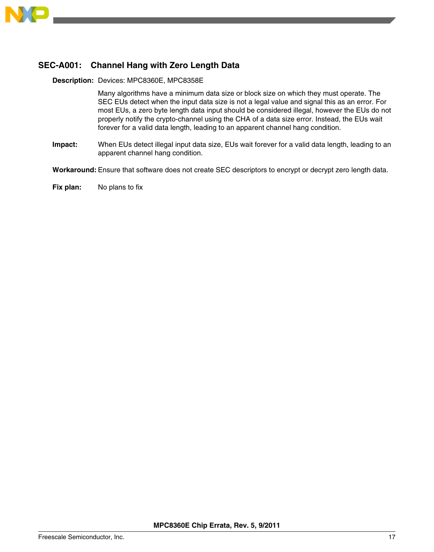<span id="page-16-0"></span>

# **SEC-A001: Channel Hang with Zero Length Data**

**Description:** Devices: MPC8360E, MPC8358E

Many algorithms have a minimum data size or block size on which they must operate. The SEC EUs detect when the input data size is not a legal value and signal this as an error. For most EUs, a zero byte length data input should be considered illegal, however the EUs do not properly notify the crypto-channel using the CHA of a data size error. Instead, the EUs wait forever for a valid data length, leading to an apparent channel hang condition.

**Impact:** When EUs detect illegal input data size, EUs wait forever for a valid data length, leading to an apparent channel hang condition.

**Workaround:** Ensure that software does not create SEC descriptors to encrypt or decrypt zero length data.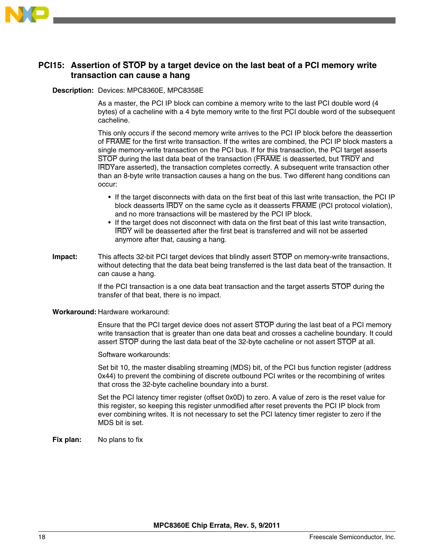<span id="page-17-0"></span>

### **PCI15: Assertion of STOP by a target device on the last beat of a PCI memory write transaction can cause a hang**

#### **Description:** Devices: MPC8360E, MPC8358E

As a master, the PCI IP block can combine a memory write to the last PCI double word (4 bytes) of a cacheline with a 4 byte memory write to the first PCI double word of the subsequent cacheline.

This only occurs if the second memory write arrives to the PCI IP block before the deassertion of FRAME for the first write transaction. If the writes are combined, the PCI IP block masters a single memory-write transaction on the PCI bus. If for this transaction, the PCI target asserts STOP during the last data beat of the transaction (FRAME is deasserted, but TRDY and IRDYare asserted), the transaction completes correctly. A subsequent write transaction other than an 8-byte write transaction causes a hang on the bus. Two different hang conditions can occur:

- If the target disconnects with data on the first beat of this last write transaction, the PCI IP block deasserts IRDY on the same cycle as it deasserts FRAME (PCI protocol violation), and no more transactions will be mastered by the PCI IP block.
- If the target does not disconnect with data on the first beat of this last write transaction, IRDY will be deasserted after the first beat is transferred and will not be asserted anymore after that, causing a hang.
- **Impact:** This affects 32-bit PCI target devices that blindly assert STOP on memory-write transactions, without detecting that the data beat being transferred is the last data beat of the transaction. It can cause a hang.

If the PCI transaction is a one data beat transaction and the target asserts STOP during the transfer of that beat, there is no impact.

### **Workaround:** Hardware workaround:

Ensure that the PCI target device does not assert STOP during the last beat of a PCI memory write transaction that is greater than one data beat and crosses a cacheline boundary. It could assert STOP during the last data beat of the 32-byte cacheline or not assert STOP at all.

Software workarounds:

Set bit 10, the master disabling streaming (MDS) bit, of the PCI bus function register (address 0x44) to prevent the combining of discrete outbound PCI writes or the recombining of writes that cross the 32-byte cacheline boundary into a burst.

Set the PCI latency timer register (offset 0x0D) to zero. A value of zero is the reset value for this register, so keeping this register unmodified after reset prevents the PCI IP block from ever combining writes. It is not necessary to set the PCI latency timer register to zero if the MDS bit is set.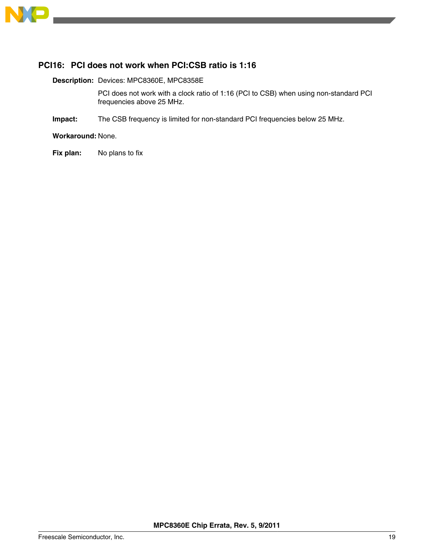<span id="page-18-0"></span>

## **PCI16: PCI does not work when PCI:CSB ratio is 1:16**

**Description:** Devices: MPC8360E, MPC8358E

PCI does not work with a clock ratio of 1:16 (PCI to CSB) when using non-standard PCI frequencies above 25 MHz.

**Impact:** The CSB frequency is limited for non-standard PCI frequencies below 25 MHz.

**Workaround:** None.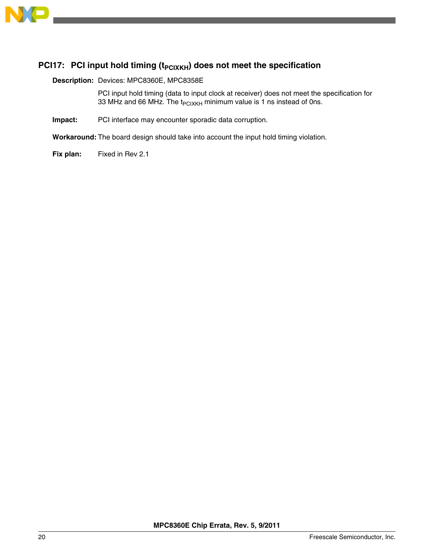<span id="page-19-0"></span>

## **PCI17:** PCI input hold timing (t<sub>PCIXKH</sub>) does not meet the specification

**Description:** Devices: MPC8360E, MPC8358E

PCI input hold timing (data to input clock at receiver) does not meet the specification for 33 MHz and 66 MHz. The  $t_{PCIXKH}$  minimum value is 1 ns instead of 0ns.

**Impact:** PCI interface may encounter sporadic data corruption.

**Workaround:** The board design should take into account the input hold timing violation.

**Fix plan:** Fixed in Rev 2.1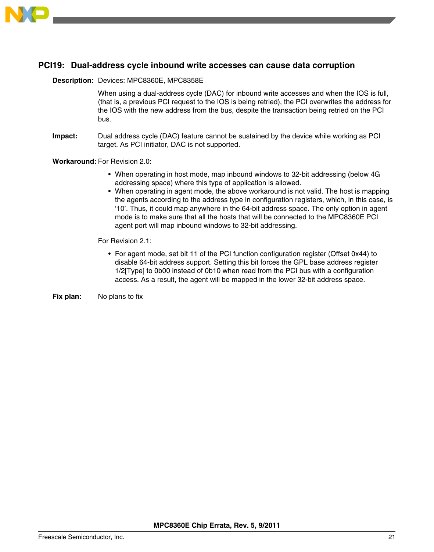<span id="page-20-0"></span>

### **PCI19: Dual-address cycle inbound write accesses can cause data corruption**

#### **Description:** Devices: MPC8360E, MPC8358E

When using a dual-address cycle (DAC) for inbound write accesses and when the IOS is full, (that is, a previous PCI request to the IOS is being retried), the PCI overwrites the address for the IOS with the new address from the bus, despite the transaction being retried on the PCI bus.

**Impact:** Dual address cycle (DAC) feature cannot be sustained by the device while working as PCI target. As PCI initiator, DAC is not supported.

**Workaround:** For Revision 2.0:

- When operating in host mode, map inbound windows to 32-bit addressing (below 4G addressing space) where this type of application is allowed.
- When operating in agent mode, the above workaround is not valid. The host is mapping the agents according to the address type in configuration registers, which, in this case, is '10'. Thus, it could map anywhere in the 64-bit address space. The only option in agent mode is to make sure that all the hosts that will be connected to the MPC8360E PCI agent port will map inbound windows to 32-bit addressing.

For Revision 2.1:

• For agent mode, set bit 11 of the PCI function configuration register (Offset 0x44) to disable 64-bit address support. Setting this bit forces the GPL base address register 1/2[Type] to 0b00 instead of 0b10 when read from the PCI bus with a configuration access. As a result, the agent will be mapped in the lower 32-bit address space.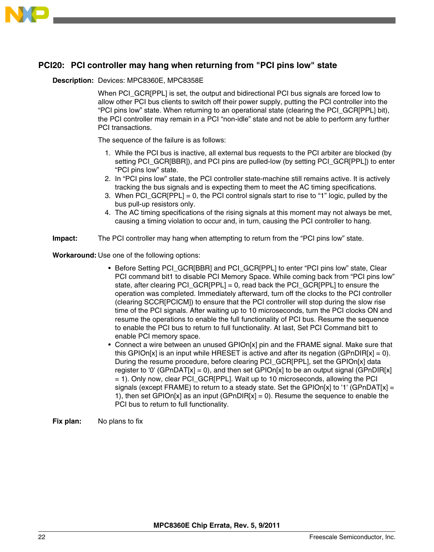<span id="page-21-0"></span>

## **PCI20: PCI controller may hang when returning from "PCI pins low" state**

#### **Description:** Devices: MPC8360E, MPC8358E

When PCI GCR[PPL] is set, the output and bidirectional PCI bus signals are forced low to allow other PCI bus clients to switch off their power supply, putting the PCI controller into the "PCI pins low" state. When returning to an operational state (clearing the PCI\_GCR[PPL] bit), the PCI controller may remain in a PCI "non-idle" state and not be able to perform any further PCI transactions.

The sequence of the failure is as follows:

- 1. While the PCI bus is inactive, all external bus requests to the PCI arbiter are blocked (by setting PCI\_GCR[BBR]), and PCI pins are pulled-low (by setting PCI\_GCR[PPL]) to enter "PCI pins low" state.
- 2. In "PCI pins low" state, the PCI controller state-machine still remains active. It is actively tracking the bus signals and is expecting them to meet the AC timing specifications.
- 3. When PCI\_GCR[PPL] = 0, the PCI control signals start to rise to "1" logic, pulled by the bus pull-up resistors only.
- 4. The AC timing specifications of the rising signals at this moment may not always be met, causing a timing violation to occur and, in turn, causing the PCI controller to hang.
- **Impact:** The PCI controller may hang when attempting to return from the "PCI pins low" state.

**Workaround:** Use one of the following options:

- Before Setting PCI\_GCR[BBR] and PCI\_GCR[PPL] to enter "PCI pins low" state, Clear PCI command bit1 to disable PCI Memory Space. While coming back from "PCI pins low" state, after clearing PCI GCR[PPL] = 0, read back the PCI GCR[PPL] to ensure the operation was completed. Immediately afterward, turn off the clocks to the PCI controller (clearing SCCR[PCICM]) to ensure that the PCI controller will stop during the slow rise time of the PCI signals. After waiting up to 10 microseconds, turn the PCI clocks ON and resume the operations to enable the full functionality of PCI bus. Resume the sequence to enable the PCI bus to return to full functionality. At last, Set PCI Command bit1 to enable PCI memory space.
- Connect a wire between an unused GPIOn[x] pin and the FRAME signal. Make sure that this GPIOn[x] is an input while HRESET is active and after its negation (GPnDIR[x] = 0). During the resume procedure, before clearing PCI\_GCR[PPL], set the GPIOn[x] data register to '0' (GPnDAT[x] = 0), and then set GPIOn[x] to be an output signal (GPnDIR[x] = 1). Only now, clear PCI\_GCR[PPL]. Wait up to 10 microseconds, allowing the PCI signals (except FRAME) to return to a steady state. Set the GPIOn[x] to '1' (GPnDAT[x] = 1), then set GPIOn[x] as an input  $(GPnDIR[x] = 0)$ . Resume the sequence to enable the PCI bus to return to full functionality.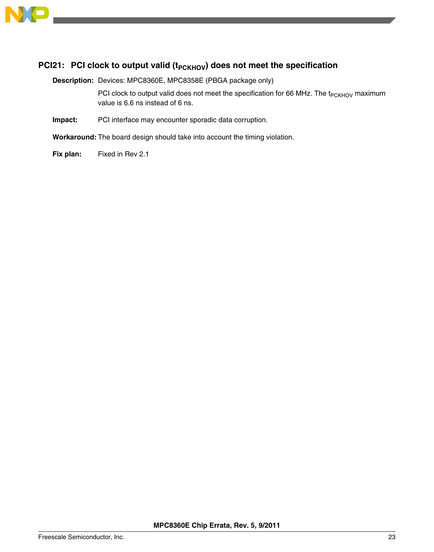<span id="page-22-0"></span>

## **PCI21:** PCI clock to output valid (t<sub>PCKHOV</sub>) does not meet the specification

**Description:** Devices: MPC8360E, MPC8358E (PBGA package only)

PCI clock to output valid does not meet the specification for 66 MHz. The  $t_{PCKHOV}$  maximum value is 6.6 ns instead of 6 ns.

**Impact:** PCI interface may encounter sporadic data corruption.

**Workaround:** The board design should take into account the timing violation.

**Fix plan:** Fixed in Rev 2.1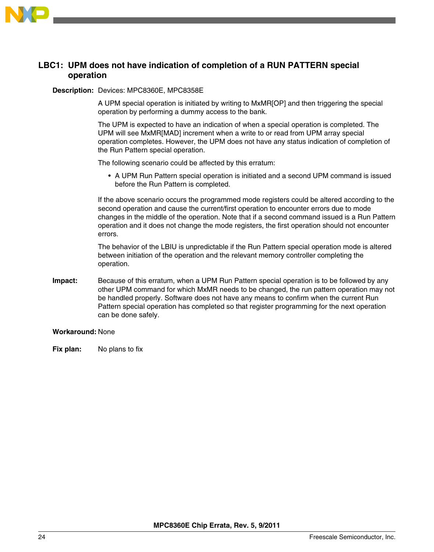<span id="page-23-0"></span>

### **LBC1: UPM does not have indication of completion of a RUN PATTERN special operation**

#### **Description:** Devices: MPC8360E, MPC8358E

A UPM special operation is initiated by writing to MxMR[OP] and then triggering the special operation by performing a dummy access to the bank.

The UPM is expected to have an indication of when a special operation is completed. The UPM will see MxMR[MAD] increment when a write to or read from UPM array special operation completes. However, the UPM does not have any status indication of completion of the Run Pattern special operation.

The following scenario could be affected by this erratum:

• A UPM Run Pattern special operation is initiated and a second UPM command is issued before the Run Pattern is completed.

If the above scenario occurs the programmed mode registers could be altered according to the second operation and cause the current/first operation to encounter errors due to mode changes in the middle of the operation. Note that if a second command issued is a Run Pattern operation and it does not change the mode registers, the first operation should not encounter errors.

The behavior of the LBIU is unpredictable if the Run Pattern special operation mode is altered between initiation of the operation and the relevant memory controller completing the operation.

**Impact:** Because of this erratum, when a UPM Run Pattern special operation is to be followed by any other UPM command for which MxMR needs to be changed, the run pattern operation may not be handled properly. Software does not have any means to confirm when the current Run Pattern special operation has completed so that register programming for the next operation can be done safely.

#### **Workaround:** None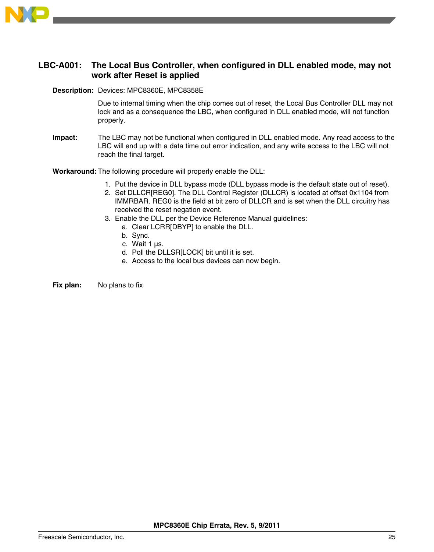<span id="page-24-0"></span>

### **LBC-A001: The Local Bus Controller, when configured in DLL enabled mode, may not work after Reset is applied**

#### **Description:** Devices: MPC8360E, MPC8358E

Due to internal timing when the chip comes out of reset, the Local Bus Controller DLL may not lock and as a consequence the LBC, when configured in DLL enabled mode, will not function properly.

**Impact:** The LBC may not be functional when configured in DLL enabled mode. Any read access to the LBC will end up with a data time out error indication, and any write access to the LBC will not reach the final target.

**Workaround:** The following procedure will properly enable the DLL:

- 1. Put the device in DLL bypass mode (DLL bypass mode is the default state out of reset).
- 2. Set DLLCR[REG0]. The DLL Control Register (DLLCR) is located at offset 0x1104 from IMMRBAR. REG0 is the field at bit zero of DLLCR and is set when the DLL circuitry has received the reset negation event.
- 3. Enable the DLL per the Device Reference Manual guidelines:
	- a. Clear LCRR[DBYP] to enable the DLL.
	- b. Sync.
	- c. Wait 1 µs.
	- d. Poll the DLLSR[LOCK] bit until it is set.
	- e. Access to the local bus devices can now begin.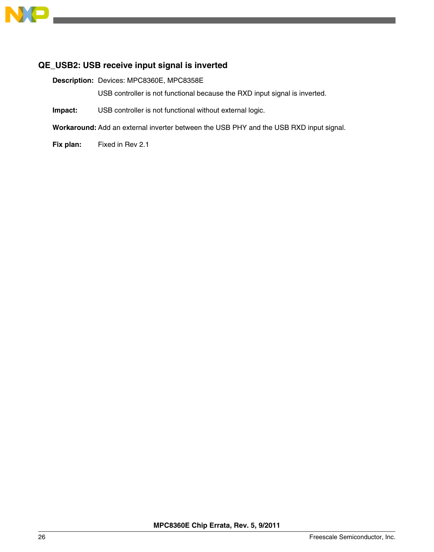<span id="page-25-0"></span>

### **QE\_USB2: USB receive input signal is inverted**

**Description:** Devices: MPC8360E, MPC8358E

USB controller is not functional because the RXD input signal is inverted.

**Impact:** USB controller is not functional without external logic.

**Workaround:** Add an external inverter between the USB PHY and the USB RXD input signal.

**Fix plan:** Fixed in Rev 2.1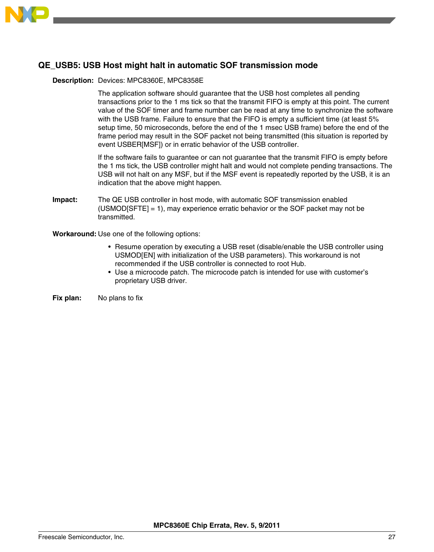<span id="page-26-0"></span>

# **QE\_USB5: USB Host might halt in automatic SOF transmission mode**

#### **Description:** Devices: MPC8360E, MPC8358E

The application software should guarantee that the USB host completes all pending transactions prior to the 1 ms tick so that the transmit FIFO is empty at this point. The current value of the SOF timer and frame number can be read at any time to synchronize the software with the USB frame. Failure to ensure that the FIFO is empty a sufficient time (at least 5% setup time, 50 microseconds, before the end of the 1 msec USB frame) before the end of the frame period may result in the SOF packet not being transmitted (this situation is reported by event USBER[MSF]) or in erratic behavior of the USB controller.

If the software fails to guarantee or can not guarantee that the transmit FIFO is empty before the 1 ms tick, the USB controller might halt and would not complete pending transactions. The USB will not halt on any MSF, but if the MSF event is repeatedly reported by the USB, it is an indication that the above might happen.

**Impact:** The QE USB controller in host mode, with automatic SOF transmission enabled (USMOD[SFTE] = 1), may experience erratic behavior or the SOF packet may not be transmitted.

**Workaround:** Use one of the following options:

- Resume operation by executing a USB reset (disable/enable the USB controller using USMOD[EN] with initialization of the USB parameters). This workaround is not recommended if the USB controller is connected to root Hub.
- Use a microcode patch. The microcode patch is intended for use with customer's proprietary USB driver.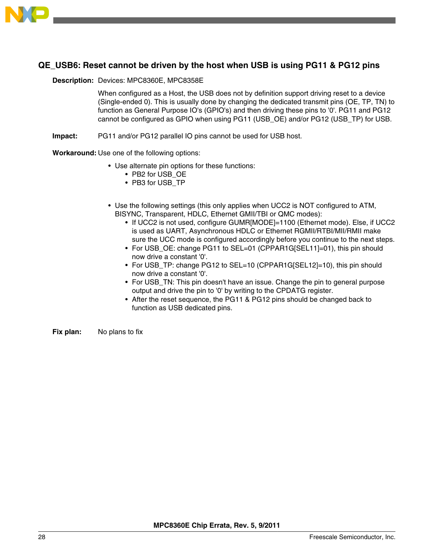<span id="page-27-0"></span>

## **QE\_USB6: Reset cannot be driven by the host when USB is using PG11 & PG12 pins**

#### **Description:** Devices: MPC8360E, MPC8358E

When configured as a Host, the USB does not by definition support driving reset to a device (Single-ended 0). This is usually done by changing the dedicated transmit pins (OE, TP, TN) to function as General Purpose IO's (GPIO's) and then driving these pins to '0'. PG11 and PG12 cannot be configured as GPIO when using PG11 (USB\_OE) and/or PG12 (USB\_TP) for USB.

**Impact:** PG11 and/or PG12 parallel IO pins cannot be used for USB host.

**Workaround:** Use one of the following options:

- Use alternate pin options for these functions:
	- PB2 for USB\_OE
	- PB3 for USB\_TP
- Use the following settings (this only applies when UCC2 is NOT configured to ATM, BISYNC, Transparent, HDLC, Ethernet GMII/TBI or QMC modes):
	- If UCC2 is not used, configure GUMR[MODE]=1100 (Ethernet mode). Else, if UCC2 is used as UART, Asynchronous HDLC or Ethernet RGMII/RTBI/MII/RMII make sure the UCC mode is configured accordingly before you continue to the next steps.
	- For USB OE: change PG11 to SEL=01 (CPPAR1G[SEL11]=01), this pin should now drive a constant '0'.
	- For USB\_TP: change PG12 to SEL=10 (CPPAR1G[SEL12]=10), this pin should now drive a constant '0'.
	- For USB\_TN: This pin doesn't have an issue. Change the pin to general purpose output and drive the pin to '0' by writing to the CPDATG register.
	- After the reset sequence, the PG11 & PG12 pins should be changed back to function as USB dedicated pins.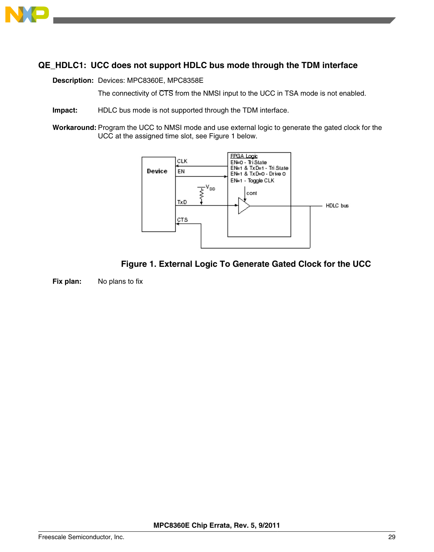<span id="page-28-0"></span>

# **QE\_HDLC1: UCC does not support HDLC bus mode through the TDM interface**

**Description:** Devices: MPC8360E, MPC8358E

The connectivity of CTS from the NMSI input to the UCC in TSA mode is not enabled.

- **Impact:** HDLC bus mode is not supported through the TDM interface.
- **Workaround:** Program the UCC to NMSI mode and use external logic to generate the gated clock for the UCC at the assigned time slot, see Figure 1 below.



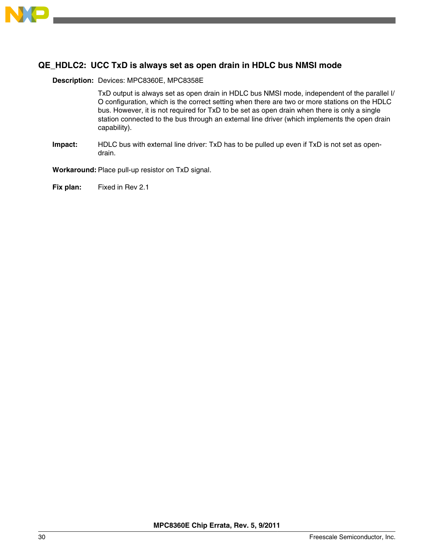<span id="page-29-0"></span>

### **QE\_HDLC2: UCC TxD is always set as open drain in HDLC bus NMSI mode**

#### **Description:** Devices: MPC8360E, MPC8358E

TxD output is always set as open drain in HDLC bus NMSI mode, independent of the parallel I/ O configuration, which is the correct setting when there are two or more stations on the HDLC bus. However, it is not required for TxD to be set as open drain when there is only a single station connected to the bus through an external line driver (which implements the open drain capability).

**Impact:** HDLC bus with external line driver: TxD has to be pulled up even if TxD is not set as opendrain.

**Workaround:** Place pull-up resistor on TxD signal.

**Fix plan:** Fixed in Rev 2.1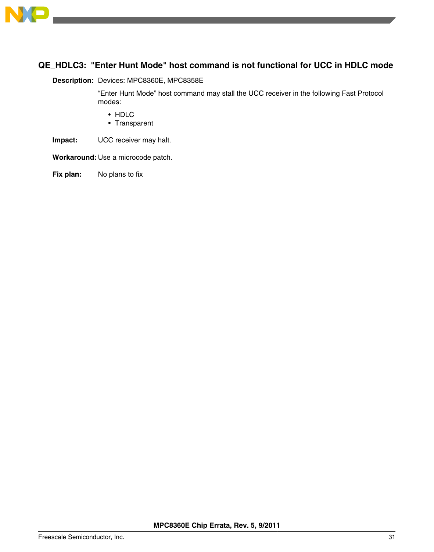<span id="page-30-0"></span>

# **QE\_HDLC3: "Enter Hunt Mode" host command is not functional for UCC in HDLC mode**

#### **Description:** Devices: MPC8360E, MPC8358E

"Enter Hunt Mode" host command may stall the UCC receiver in the following Fast Protocol modes:

- HDLC
- Transparent
- **Impact:** UCC receiver may halt.

**Workaround:** Use a microcode patch.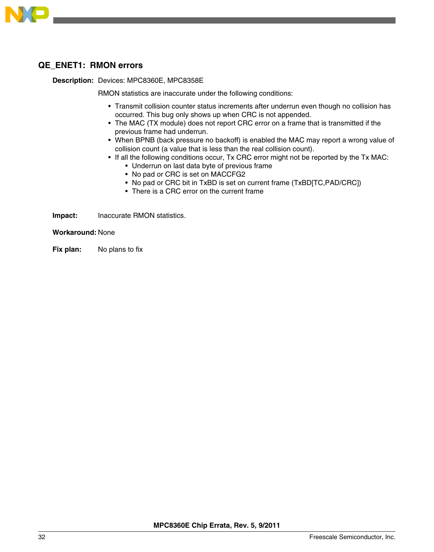<span id="page-31-0"></span>

### **QE\_ENET1: RMON errors**

#### **Description:** Devices: MPC8360E, MPC8358E

RMON statistics are inaccurate under the following conditions:

- Transmit collision counter status increments after underrun even though no collision has occurred. This bug only shows up when CRC is not appended.
- The MAC (TX module) does not report CRC error on a frame that is transmitted if the previous frame had underrun.
- When BPNB (back pressure no backoff) is enabled the MAC may report a wrong value of collision count (a value that is less than the real collision count).
- If all the following conditions occur, Tx CRC error might not be reported by the Tx MAC:
	- Underrun on last data byte of previous frame
	- No pad or CRC is set on MACCFG2
	- No pad or CRC bit in TxBD is set on current frame (TxBD[TC,PAD/CRC])
	- There is a CRC error on the current frame

**Impact:** Inaccurate RMON statistics.

**Workaround:** None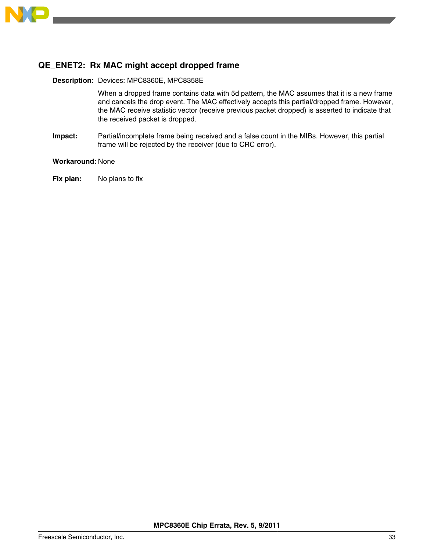<span id="page-32-0"></span>

# **QE\_ENET2: Rx MAC might accept dropped frame**

#### **Description:** Devices: MPC8360E, MPC8358E

When a dropped frame contains data with 5d pattern, the MAC assumes that it is a new frame and cancels the drop event. The MAC effectively accepts this partial/dropped frame. However, the MAC receive statistic vector (receive previous packet dropped) is asserted to indicate that the received packet is dropped.

**Impact:** Partial/incomplete frame being received and a false count in the MIBs. However, this partial frame will be rejected by the receiver (due to CRC error).

#### **Workaround:** None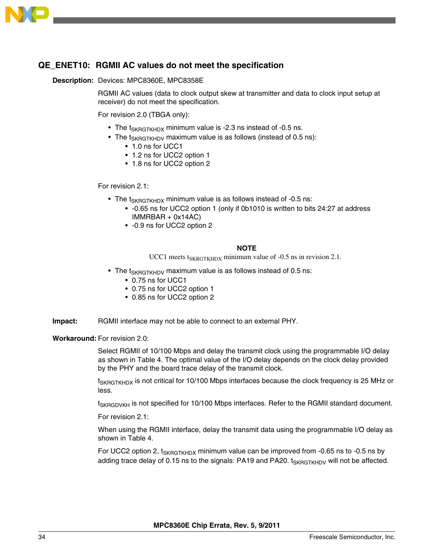<span id="page-33-0"></span>

### **QE\_ENET10: RGMII AC values do not meet the specification**

#### **Description:** Devices: MPC8360E, MPC8358E

RGMII AC values (data to clock output skew at transmitter and data to clock input setup at receiver) do not meet the specification.

For revision 2.0 (TBGA only):

- The  $t_{SKRGTKHDX}$  minimum value is -2.3 ns instead of -0.5 ns.
- The  $t_{SKRGTKHDV}$  maximum value is as follows (instead of 0.5 ns):
	- 1.0 ns for UCC1
	- 1.2 ns for UCC2 option 1
	- 1.8 ns for UCC2 option 2

For revision 2.1:

- The  $t_{SKRGTKHDX}$  minimum value is as follows instead of -0.5 ns:
	- -0.65 ns for UCC2 option 1 (only if 0b1010 is written to bits 24:27 at address IMMRBAR + 0x14AC)
	- -0.9 ns for UCC2 option 2

#### **NOTE**

UCC1 meets  $t_{SKRGTKHDX}$  minimum value of -0.5 ns in revision 2.1.

- The  $t_{SKRGTKHDV}$  maximum value is as follows instead of 0.5 ns:
	- 0.75 ns for UCC1
	- 0.75 ns for UCC2 option 1
	- 0.85 ns for UCC2 option 2
- **Impact:** RGMII interface may not be able to connect to an external PHY.

**Workaround:** For revision 2.0:

Select RGMII of 10/100 Mbps and delay the transmit clock using the programmable I/O delay as shown in Table 4. The optimal value of the I/O delay depends on the clock delay provided by the PHY and the board trace delay of the transmit clock.

t<sub>SKRGTKHDX</sub> is not critical for 10/100 Mbps interfaces because the clock frequency is 25 MHz or less.

t<sub>SKRGDVKH</sub> is not specified for 10/100 Mbps interfaces. Refer to the RGMII standard document.

For revision 2.1:

When using the RGMII interface, delay the transmit data using the programmable I/O delay as shown in Table 4.

For UCC2 option 2,  $t_{SKRGTKHDX}$  minimum value can be improved from -0.65 ns to -0.5 ns by adding trace delay of 0.15 ns to the signals: PA19 and PA20. t<sub>SKRGTKHDV</sub> will not be affected.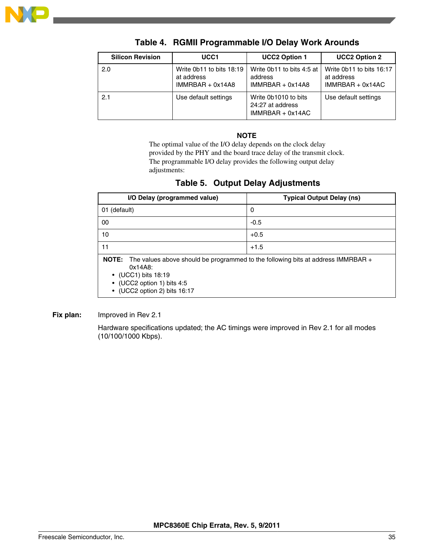

| <b>Silicon Revision</b> | UCC <sub>1</sub>                                             | <b>UCC2 Option 1</b>                                           | <b>UCC2 Option 2</b>                                         |
|-------------------------|--------------------------------------------------------------|----------------------------------------------------------------|--------------------------------------------------------------|
| 2.0                     | Write 0b11 to bits 18:19<br>at address<br>$IMMRBAR + 0x14A8$ | Write 0b11 to bits 4:5 at<br>address<br>$IMMRBAR + 0x14AB$     | Write 0b11 to bits 16:17<br>at address<br>$IMMRBAR + 0x14AC$ |
| 2.1                     | Use default settings                                         | Write 0b1010 to bits<br>24:27 at address<br>$IMMRBAR + 0x14AC$ | Use default settings                                         |

### **Table 4. RGMII Programmable I/O Delay Work Arounds**

#### **NOTE**

The optimal value of the I/O delay depends on the clock delay provided by the PHY and the board trace delay of the transmit clock. The programmable I/O delay provides the following output delay adjustments:

### **Table 5. Output Delay Adjustments**

| I/O Delay (programmed value)                                                                                                                                                                   | <b>Typical Output Delay (ns)</b> |
|------------------------------------------------------------------------------------------------------------------------------------------------------------------------------------------------|----------------------------------|
| 01 (default)                                                                                                                                                                                   | 0                                |
| 00                                                                                                                                                                                             | $-0.5$                           |
| 10                                                                                                                                                                                             | $+0.5$                           |
| 11                                                                                                                                                                                             | $+1.5$                           |
| NOTE: The values above should be programmed to the following bits at address IMMRBAR +<br>0x14A8:<br>$\bullet$ (UCC1) bits 18:19<br>• (UCC2 option 1) bits 4:5<br>• (UCC2 option 2) bits 16:17 |                                  |

#### **Fix plan:** Improved in Rev 2.1

Hardware specifications updated; the AC timings were improved in Rev 2.1 for all modes (10/100/1000 Kbps).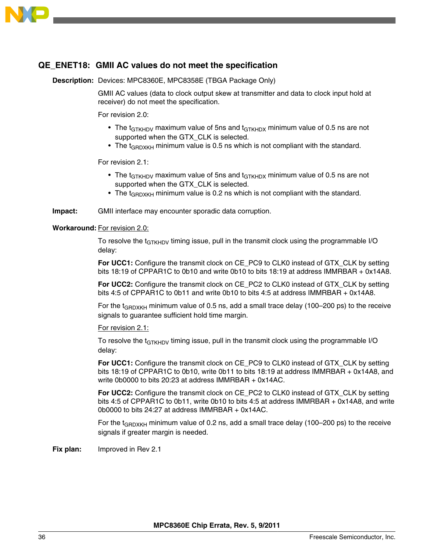<span id="page-35-0"></span>

### **QE\_ENET18: GMII AC values do not meet the specification**

**Description:** Devices: MPC8360E, MPC8358E (TBGA Package Only)

GMII AC values (data to clock output skew at transmitter and data to clock input hold at receiver) do not meet the specification.

For revision 2.0:

- The t<sub>GTKHDV</sub> maximum value of 5ns and t<sub>GTKHDX</sub> minimum value of 0.5 ns are not supported when the GTX CLK is selected.
- The  $t_{\text{GRDXKH}}$  minimum value is 0.5 ns which is not compliant with the standard.

For revision 2.1:

- The  $t_{GTKHDV}$  maximum value of 5ns and  $t_{GTKHDX}$  minimum value of 0.5 ns are not supported when the GTX\_CLK is selected.
- The  $t_{GBDXKH}$  minimum value is 0.2 ns which is not compliant with the standard.

**Impact:** GMII interface may encounter sporadic data corruption.

#### **Workaround:** For revision 2.0:

To resolve the t<sub>GTKHDV</sub> timing issue, pull in the transmit clock using the programmable I/O delay:

**For UCC1:** Configure the transmit clock on CE\_PC9 to CLK0 instead of GTX\_CLK by setting bits 18:19 of CPPAR1C to 0b10 and write 0b10 to bits 18:19 at address IMMRBAR + 0x14A8.

**For UCC2:** Configure the transmit clock on CE\_PC2 to CLK0 instead of GTX\_CLK by setting bits 4:5 of CPPAR1C to 0b11 and write 0b10 to bits 4:5 at address IMMRBAR + 0x14A8.

For the  $t_{GBDXKH}$  minimum value of 0.5 ns, add a small trace delay (100–200 ps) to the receive signals to guarantee sufficient hold time margin.

For revision 2.1:

To resolve the  $t_{GTKHDV}$  timing issue, pull in the transmit clock using the programmable I/O delay:

**For UCC1:** Configure the transmit clock on CE\_PC9 to CLK0 instead of GTX\_CLK by setting bits 18:19 of CPPAR1C to 0b10, write 0b11 to bits 18:19 at address IMMRBAR + 0x14A8, and write 0b0000 to bits 20:23 at address IMMRBAR + 0x14AC.

**For UCC2:** Configure the transmit clock on CE\_PC2 to CLK0 instead of GTX\_CLK by setting bits 4:5 of CPPAR1C to 0b11, write 0b10 to bits 4:5 at address IMMRBAR + 0x14A8, and write 0b0000 to bits 24:27 at address IMMRBAR + 0x14AC.

For the  $t_{GBDXKH}$  minimum value of 0.2 ns, add a small trace delay (100–200 ps) to the receive signals if greater margin is needed.

**Fix plan:** Improved in Rev 2.1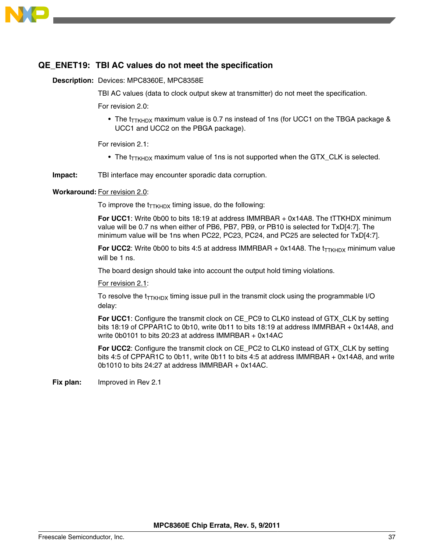

#### **QE\_ENET19: TBI AC values do not meet the specification**

#### **Description:** Devices: MPC8360E, MPC8358E

TBI AC values (data to clock output skew at transmitter) do not meet the specification.

For revision 2.0:

• The  $t_{TTKHDX}$  maximum value is 0.7 ns instead of 1ns (for UCC1 on the TBGA package & UCC1 and UCC2 on the PBGA package).

For revision 2.1:

• The  $t_{\text{TKHDX}}$  maximum value of 1ns is not supported when the GTX\_CLK is selected.

**Impact:** TBI interface may encounter sporadic data corruption.

#### **Workaround:** For revision 2.0:

To improve the  $t_{TTKHDX}$  timing issue, do the following:

**For UCC1**: Write 0b00 to bits 18:19 at address IMMRBAR + 0x14A8. The tTTKHDX minimum value will be 0.7 ns when either of PB6, PB7, PB9, or PB10 is selected for TxD[4:7]. The minimum value will be 1ns when PC22, PC23, PC24, and PC25 are selected for TxD[4:7].

**For UCC2:** Write 0b00 to bits 4:5 at address IMMRBAR + 0x14A8. The  $t_{\text{TKHDX}}$  minimum value will be 1 ns.

The board design should take into account the output hold timing violations.

For revision 2.1:

To resolve the  $t_{\text{TTKHDX}}$  timing issue pull in the transmit clock using the programmable I/O delay:

**For UCC1**: Configure the transmit clock on CE\_PC9 to CLK0 instead of GTX\_CLK by setting bits 18:19 of CPPAR1C to 0b10, write 0b11 to bits 18:19 at address IMMRBAR + 0x14A8, and write 0b0101 to bits 20:23 at address IMMRBAR + 0x14AC

**For UCC2**: Configure the transmit clock on CE\_PC2 to CLK0 instead of GTX\_CLK by setting bits 4:5 of CPPAR1C to 0b11, write 0b11 to bits 4:5 at address IMMRBAR + 0x14A8, and write 0b1010 to bits 24:27 at address IMMRBAR + 0x14AC.

**Fix plan:** Improved in Rev 2.1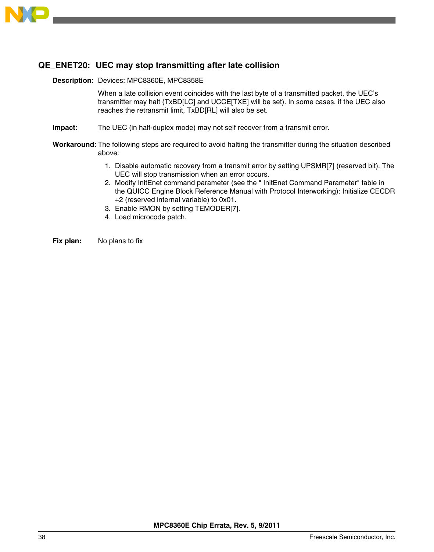

### **QE\_ENET20: UEC may stop transmitting after late collision**

#### **Description:** Devices: MPC8360E, MPC8358E

When a late collision event coincides with the last byte of a transmitted packet, the UEC's transmitter may halt (TxBD[LC] and UCCE[TXE] will be set). In some cases, if the UEC also reaches the retransmit limit, TxBD[RL] will also be set.

- **Impact:** The UEC (in half-duplex mode) may not self recover from a transmit error.
- **Workaround:** The following steps are required to avoid halting the transmitter during the situation described above:
	- 1. Disable automatic recovery from a transmit error by setting UPSMR[7] (reserved bit). The UEC will stop transmission when an error occurs.
	- 2. Modify InitEnet command parameter (see the " InitEnet Command Parameter" table in the QUICC Engine Block Reference Manual with Protocol Interworking): Initialize CECDR +2 (reserved internal variable) to 0x01.
	- 3. Enable RMON by setting TEMODER[7].
	- 4. Load microcode patch.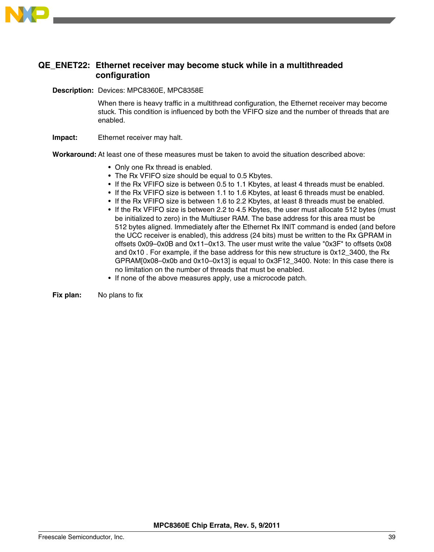

## **QE\_ENET22: Ethernet receiver may become stuck while in a multithreaded configuration**

**Description:** Devices: MPC8360E, MPC8358E

When there is heavy traffic in a multithread configuration, the Ethernet receiver may become stuck. This condition is influenced by both the VFIFO size and the number of threads that are enabled.

**Impact:** Ethernet receiver may halt.

**Workaround:** At least one of these measures must be taken to avoid the situation described above:

- Only one Rx thread is enabled.
- The Rx VFIFO size should be equal to 0.5 Kbytes.
- If the Rx VFIFO size is between 0.5 to 1.1 Kbytes, at least 4 threads must be enabled.
- If the Rx VFIFO size is between 1.1 to 1.6 Kbytes, at least 6 threads must be enabled.
- If the Rx VFIFO size is between 1.6 to 2.2 Kbytes, at least 8 threads must be enabled.
- If the Rx VFIFO size is between 2.2 to 4.5 Kbytes, the user must allocate 512 bytes (must be initialized to zero) in the Multiuser RAM. The base address for this area must be 512 bytes aligned. Immediately after the Ethernet Rx INIT command is ended (and before the UCC receiver is enabled), this address (24 bits) must be written to the Rx GPRAM in offsets 0x09–0x0B and 0x11–0x13. The user must write the value "0x3F" to offsets 0x08 and 0x10 . For example, if the base address for this new structure is 0x12\_3400, the Rx GPRAM[0x08–0x0b and 0x10–0x13] is equal to 0x3F12\_3400. Note: In this case there is no limitation on the number of threads that must be enabled.
- If none of the above measures apply, use a microcode patch.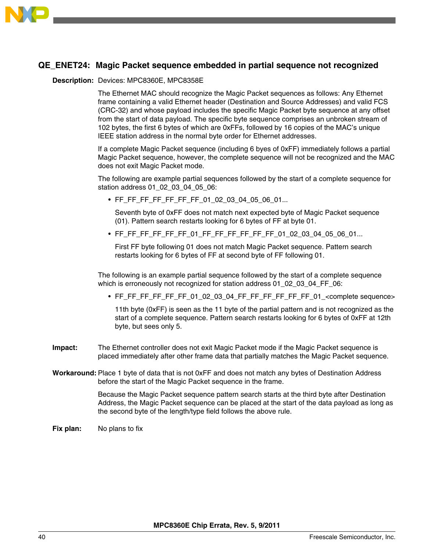

# **QE\_ENET24: Magic Packet sequence embedded in partial sequence not recognized**

#### **Description:** Devices: MPC8360E, MPC8358E

The Ethernet MAC should recognize the Magic Packet sequences as follows: Any Ethernet frame containing a valid Ethernet header (Destination and Source Addresses) and valid FCS (CRC-32) and whose payload includes the specific Magic Packet byte sequence at any offset from the start of data payload. The specific byte sequence comprises an unbroken stream of 102 bytes, the first 6 bytes of which are 0xFFs, followed by 16 copies of the MAC's unique IEEE station address in the normal byte order for Ethernet addresses.

If a complete Magic Packet sequence (including 6 byes of 0xFF) immediately follows a partial Magic Packet sequence, however, the complete sequence will not be recognized and the MAC does not exit Magic Packet mode.

The following are example partial sequences followed by the start of a complete sequence for station address 01\_02\_03\_04\_05\_06:

• FF\_FF\_FF\_FF\_FF\_FF\_01\_02\_03\_04\_05\_06\_01...

Seventh byte of 0xFF does not match next expected byte of Magic Packet sequence (01). Pattern search restarts looking for 6 bytes of FF at byte 01.

• FF\_FF\_FF\_FF\_FF\_FF\_01\_FF\_FF\_FF\_FF\_FF\_FF\_01\_02\_03\_04\_05\_06\_01...

First FF byte following 01 does not match Magic Packet sequence. Pattern search restarts looking for 6 bytes of FF at second byte of FF following 01.

The following is an example partial sequence followed by the start of a complete sequence which is erroneously not recognized for station address 01\_02\_03\_04\_FF\_06:

• FF\_FF\_FF\_FF\_FF\_FF\_01\_02\_03\_04\_FF\_FF\_FF\_FF\_FF\_FF\_01\_<complete sequence>

11th byte (0xFF) is seen as the 11 byte of the partial pattern and is not recognized as the start of a complete sequence. Pattern search restarts looking for 6 bytes of 0xFF at 12th byte, but sees only 5.

- **Impact:** The Ethernet controller does not exit Magic Packet mode if the Magic Packet sequence is placed immediately after other frame data that partially matches the Magic Packet sequence.
- **Workaround:** Place 1 byte of data that is not 0xFF and does not match any bytes of Destination Address before the start of the Magic Packet sequence in the frame.

Because the Magic Packet sequence pattern search starts at the third byte after Destination Address, the Magic Packet sequence can be placed at the start of the data payload as long as the second byte of the length/type field follows the above rule.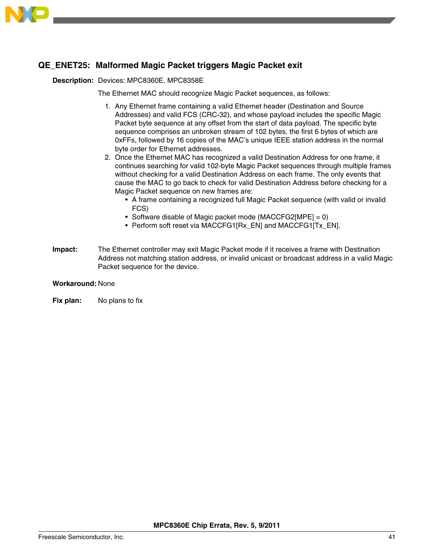

# **QE\_ENET25: Malformed Magic Packet triggers Magic Packet exit**

#### **Description:** Devices: MPC8360E, MPC8358E

The Ethernet MAC should recognize Magic Packet sequences, as follows:

- 1. Any Ethernet frame containing a valid Ethernet header (Destination and Source Addresses) and valid FCS (CRC-32), and whose payload includes the specific Magic Packet byte sequence at any offset from the start of data payload. The specific byte sequence comprises an unbroken stream of 102 bytes, the first 6 bytes of which are 0xFFs, followed by 16 copies of the MAC's unique IEEE station address in the normal byte order for Ethernet addresses.
- 2. Once the Ethernet MAC has recognized a valid Destination Address for one frame, it continues searching for valid 102-byte Magic Packet sequences through multiple frames without checking for a valid Destination Address on each frame. The only events that cause the MAC to go back to check for valid Destination Address before checking for a Magic Packet sequence on new frames are:
	- A frame containing a recognized full Magic Packet sequence (with valid or invalid FCS)
	- Software disable of Magic packet mode (MACCFG2[MPE] = 0)
	- Perform soft reset via MACCFG1[Rx\_EN] and MACCFG1[Tx\_EN].
- **Impact:** The Ethernet controller may exit Magic Packet mode if it receives a frame with Destination Address not matching station address, or invalid unicast or broadcast address in a valid Magic Packet sequence for the device.

#### **Workaround:** None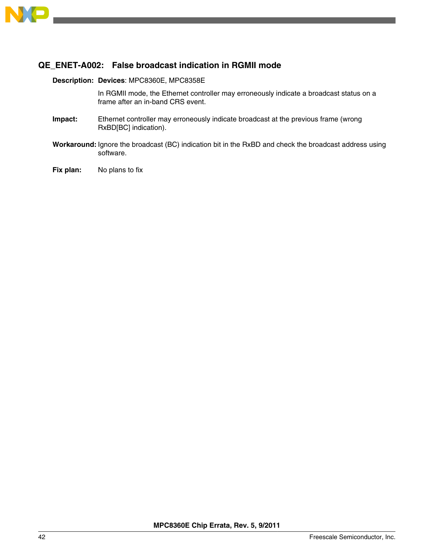

### **QE\_ENET-A002: False broadcast indication in RGMII mode**

#### **Description: Devices**: MPC8360E, MPC8358E

In RGMII mode, the Ethernet controller may erroneously indicate a broadcast status on a frame after an in-band CRS event.

- **Impact:** Ethernet controller may erroneously indicate broadcast at the previous frame (wrong RxBD[BC] indication).
- **Workaround:** Ignore the broadcast (BC) indication bit in the RxBD and check the broadcast address using software.
- **Fix plan:** No plans to fix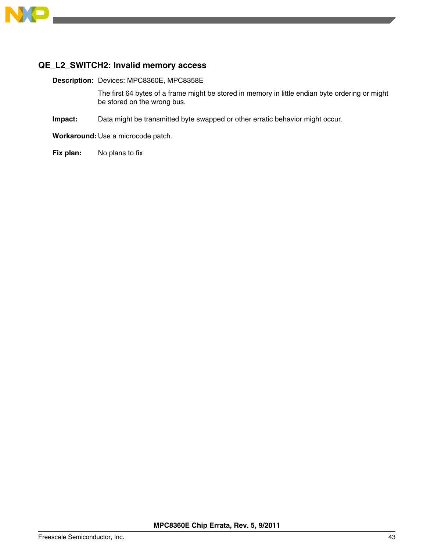

## **QE\_L2\_SWITCH2: Invalid memory access**

**Description:** Devices: MPC8360E, MPC8358E

The first 64 bytes of a frame might be stored in memory in little endian byte ordering or might be stored on the wrong bus.

**Impact:** Data might be transmitted byte swapped or other erratic behavior might occur.

**Workaround:** Use a microcode patch.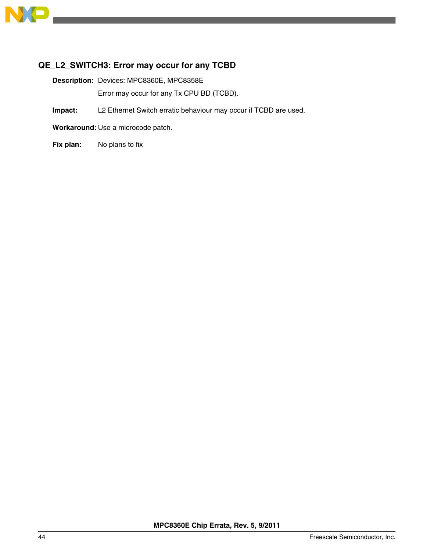

# **QE\_L2\_SWITCH3: Error may occur for any TCBD**

**Description:** Devices: MPC8360E, MPC8358E Error may occur for any Tx CPU BD (TCBD).

**Impact:** L2 Ethernet Switch erratic behaviour may occur if TCBD are used.

**Workaround:** Use a microcode patch.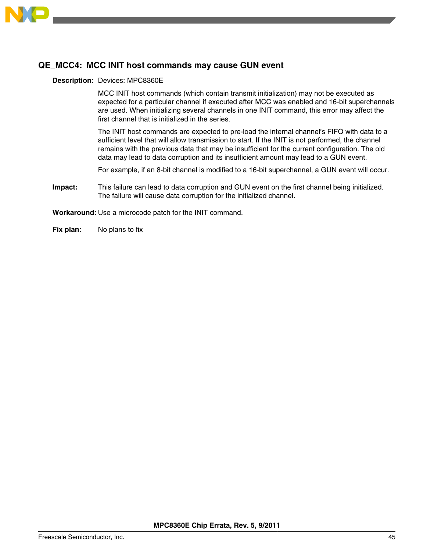

### **QE\_MCC4: MCC INIT host commands may cause GUN event**

#### **Description:** Devices: MPC8360E

MCC INIT host commands (which contain transmit initialization) may not be executed as expected for a particular channel if executed after MCC was enabled and 16-bit superchannels are used. When initializing several channels in one INIT command, this error may affect the first channel that is initialized in the series.

The INIT host commands are expected to pre-load the internal channel's FIFO with data to a sufficient level that will allow transmission to start. If the INIT is not performed, the channel remains with the previous data that may be insufficient for the current configuration. The old data may lead to data corruption and its insufficient amount may lead to a GUN event.

For example, if an 8-bit channel is modified to a 16-bit superchannel, a GUN event will occur.

**Impact:** This failure can lead to data corruption and GUN event on the first channel being initialized. The failure will cause data corruption for the initialized channel.

**Workaround:** Use a microcode patch for the INIT command.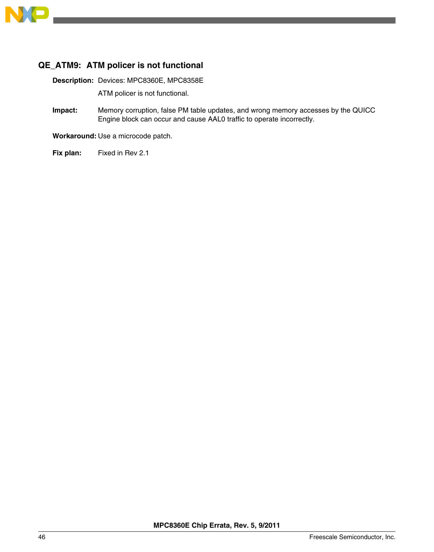

# **QE\_ATM9: ATM policer is not functional**

**Description:** Devices: MPC8360E, MPC8358E

ATM policer is not functional.

**Impact:** Memory corruption, false PM table updates, and wrong memory accesses by the QUICC Engine block can occur and cause AAL0 traffic to operate incorrectly.

**Workaround:** Use a microcode patch.

**Fix plan:** Fixed in Rev 2.1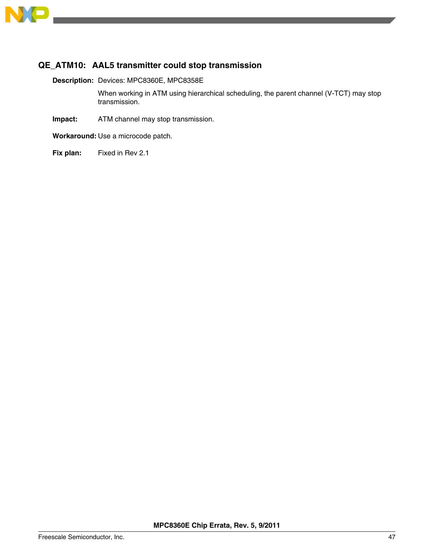

# **QE\_ATM10: AAL5 transmitter could stop transmission**

**Description:** Devices: MPC8360E, MPC8358E

When working in ATM using hierarchical scheduling, the parent channel (V-TCT) may stop transmission.

- **Impact:** ATM channel may stop transmission.
- **Workaround:** Use a microcode patch.
- **Fix plan:** Fixed in Rev 2.1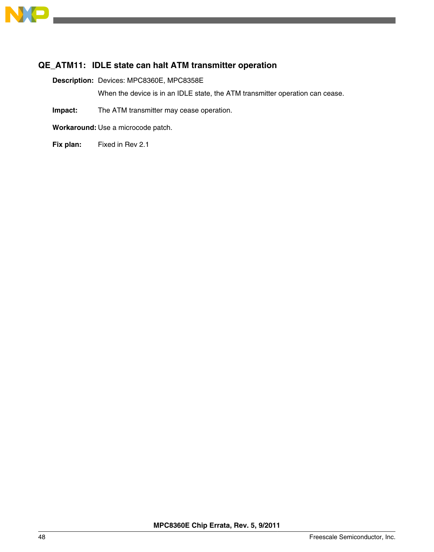

# **QE\_ATM11: IDLE state can halt ATM transmitter operation**

**Description:** Devices: MPC8360E, MPC8358E

When the device is in an IDLE state, the ATM transmitter operation can cease.

**Impact:** The ATM transmitter may cease operation.

**Workaround:** Use a microcode patch.

**Fix plan:** Fixed in Rev 2.1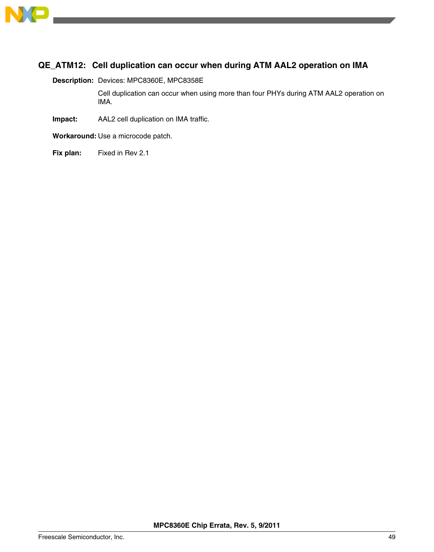

# **QE\_ATM12: Cell duplication can occur when during ATM AAL2 operation on IMA**

**Description:** Devices: MPC8360E, MPC8358E

Cell duplication can occur when using more than four PHYs during ATM AAL2 operation on IMA.

**Impact:** AAL2 cell duplication on IMA traffic.

**Workaround:** Use a microcode patch.

**Fix plan:** Fixed in Rev 2.1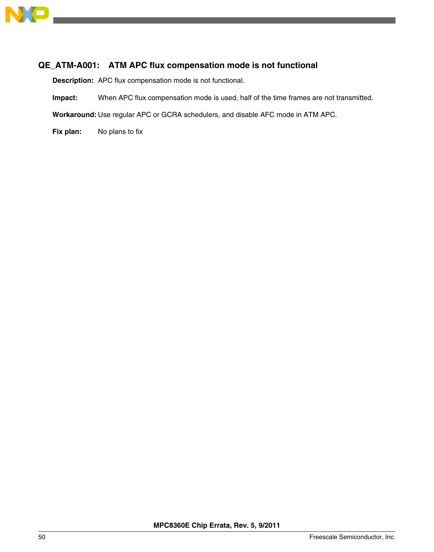

# **QE\_ATM-A001: ATM APC flux compensation mode is not functional**

**Description:** APC flux compensation mode is not functional.

**Impact:** When APC flux compensation mode is used, half of the time frames are not transmitted.

**Workaround:** Use regular APC or GCRA schedulers, and disable AFC mode in ATM APC.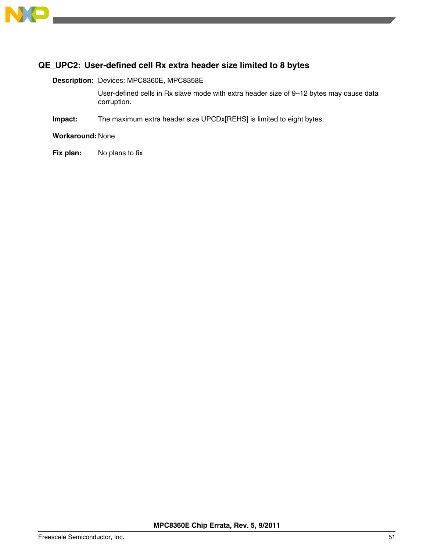

# **QE\_UPC2: User-defined cell Rx extra header size limited to 8 bytes**

**Description:** Devices: MPC8360E, MPC8358E

User-defined cells in Rx slave mode with extra header size of 9–12 bytes may cause data corruption.

**Impact:** The maximum extra header size UPCDx[REHS] is limited to eight bytes.

**Workaround:** None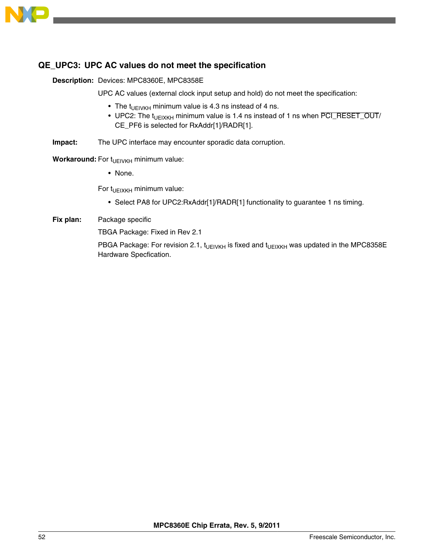

### **QE\_UPC3: UPC AC values do not meet the specification**

**Description:** Devices: MPC8360E, MPC8358E

UPC AC values (external clock input setup and hold) do not meet the specification:

- The t<sub>UEIVKH</sub> minimum value is 4.3 ns instead of 4 ns.
- UPC2: The  $t_{U E I X K H}$  minimum value is 1.4 ns instead of 1 ns when  $\overline{PCI\_RESET\_OUT}/$ CE\_PF6 is selected for RxAddr[1]/RADR[1].
- **Impact:** The UPC interface may encounter sporadic data corruption.

**Workaround:** For t<sub>UEIVKH</sub> minimum value:

• None.

For  $t_{UEIXKH}$  minimum value:

- Select PA8 for UPC2:RxAddr[1]/RADR[1] functionality to guarantee 1 ns timing.
- **Fix plan:** Package specific

TBGA Package: Fixed in Rev 2.1

PBGA Package: For revision 2.1,  $t_{U E}$ <sub>IVKH</sub> is fixed and  $t_{U E}$ <sub>IXKH</sub> was updated in the MPC8358E Hardware Specfication.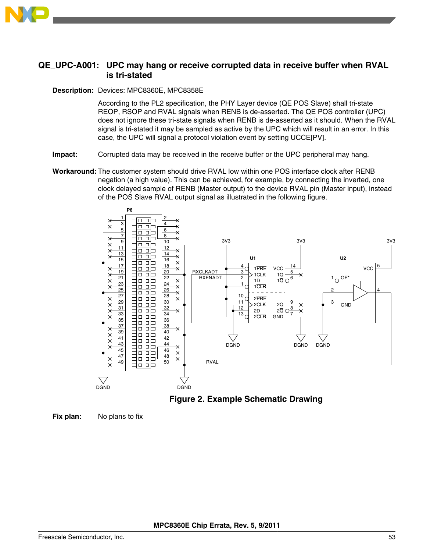

### **QE\_UPC-A001: UPC may hang or receive corrupted data in receive buffer when RVAL is tri-stated**

#### **Description:** Devices: MPC8360E, MPC8358E

According to the PL2 specification, the PHY Layer device (QE POS Slave) shall tri-state REOP, RSOP and RVAL signals when RENB is de-asserted. The QE POS controller (UPC) does not ignore these tri-state signals when RENB is de-asserted as it should. When the RVAL signal is tri-stated it may be sampled as active by the UPC which will result in an error. In this case, the UPC will signal a protocol violation event by setting UCCE[PV].

- **Impact:** Corrupted data may be received in the receive buffer or the UPC peripheral may hang.
- **Workaround:** The customer system should drive RVAL low within one POS interface clock after RENB negation (a high value). This can be achieved, for example, by connecting the inverted, one clock delayed sample of RENB (Master output) to the device RVAL pin (Master input), instead of the POS Slave RVAL output signal as illustrated in the following figure.



**Figure 2. Example Schematic Drawing**

**Fix plan:** No plans to fix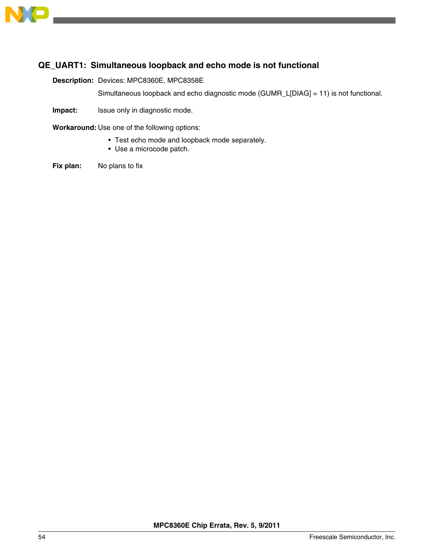

# **QE\_UART1: Simultaneous loopback and echo mode is not functional**

**Description:** Devices: MPC8360E, MPC8358E

Simultaneous loopback and echo diagnostic mode (GUMR\_L[DIAG] = 11) is not functional.

**Impact:** Issue only in diagnostic mode.

**Workaround:** Use one of the following options:

- Test echo mode and loopback mode separately.
- Use a microcode patch.
- **Fix plan:** No plans to fix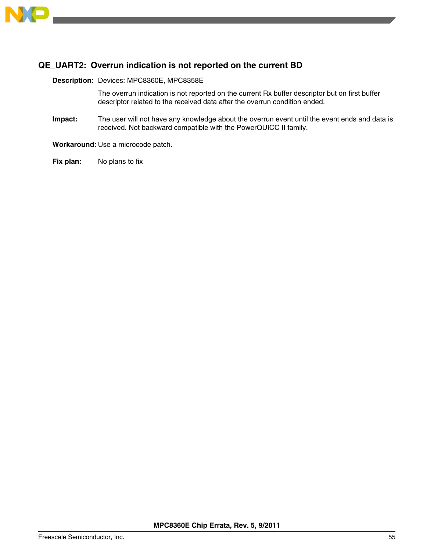

# **QE\_UART2: Overrun indication is not reported on the current BD**

**Description:** Devices: MPC8360E, MPC8358E

The overrun indication is not reported on the current Rx buffer descriptor but on first buffer descriptor related to the received data after the overrun condition ended.

**Impact:** The user will not have any knowledge about the overrun event until the event ends and data is received. Not backward compatible with the PowerQUICC II family.

**Workaround:** Use a microcode patch.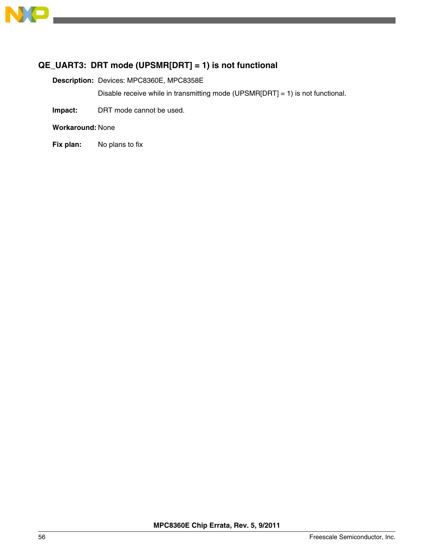

# **QE\_UART3: DRT mode (UPSMR[DRT] = 1) is not functional**

**Description:** Devices: MPC8360E, MPC8358E

Disable receive while in transmitting mode (UPSMR[DRT] = 1) is not functional.

**Impact:** DRT mode cannot be used.

**Workaround:** None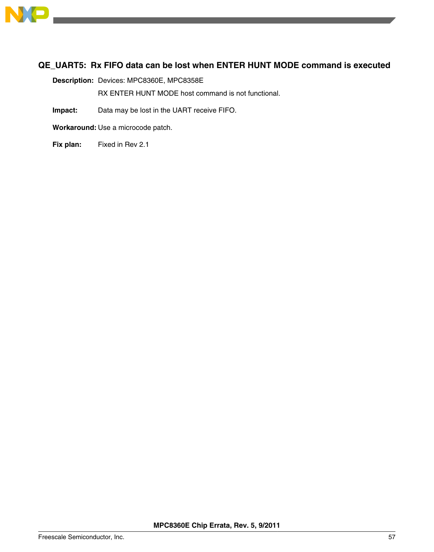

# **QE\_UART5: Rx FIFO data can be lost when ENTER HUNT MODE command is executed**

**Description:** Devices: MPC8360E, MPC8358E

RX ENTER HUNT MODE host command is not functional.

**Impact:** Data may be lost in the UART receive FIFO.

**Workaround:** Use a microcode patch.

**Fix plan:** Fixed in Rev 2.1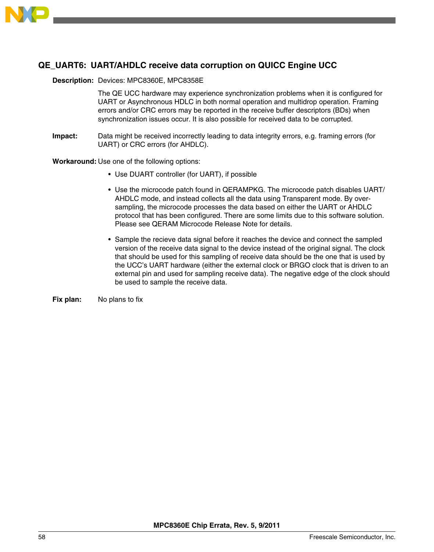

# **QE\_UART6: UART/AHDLC receive data corruption on QUICC Engine UCC**

#### **Description:** Devices: MPC8360E, MPC8358E

The QE UCC hardware may experience synchronization problems when it is configured for UART or Asynchronous HDLC in both normal operation and multidrop operation. Framing errors and/or CRC errors may be reported in the receive buffer descriptors (BDs) when synchronization issues occur. It is also possible for received data to be corrupted.

**Impact:** Data might be received incorrectly leading to data integrity errors, e.g. framing errors (for UART) or CRC errors (for AHDLC).

**Workaround:** Use one of the following options:

- Use DUART controller (for UART), if possible
- Use the microcode patch found in QERAMPKG. The microcode patch disables UART/ AHDLC mode, and instead collects all the data using Transparent mode. By oversampling, the microcode processes the data based on either the UART or AHDLC protocol that has been configured. There are some limits due to this software solution. Please see QERAM Microcode Release Note for details.
- Sample the recieve data signal before it reaches the device and connect the sampled version of the receive data signal to the device instead of the original signal. The clock that should be used for this sampling of receive data should be the one that is used by the UCC's UART hardware (either the external clock or BRGO clock that is driven to an external pin and used for sampling receive data). The negative edge of the clock should be used to sample the receive data.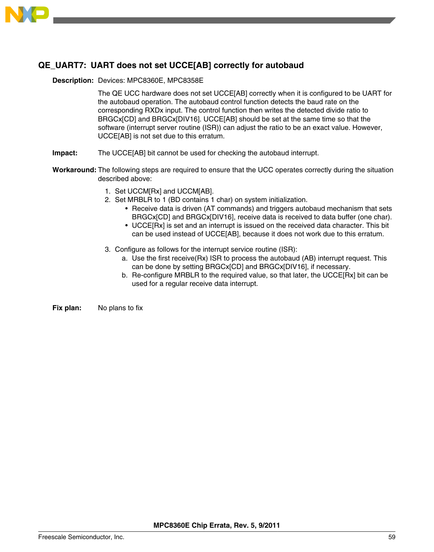

# **QE\_UART7: UART does not set UCCE[AB] correctly for autobaud**

#### **Description:** Devices: MPC8360E, MPC8358E

The QE UCC hardware does not set UCCE[AB] correctly when it is configured to be UART for the autobaud operation. The autobaud control function detects the baud rate on the corresponding RXDx input. The control function then writes the detected divide ratio to BRGCx[CD] and BRGCx[DIV16]. UCCE[AB] should be set at the same time so that the software (interrupt server routine (ISR)) can adjust the ratio to be an exact value. However, UCCE[AB] is not set due to this erratum.

- **Impact:** The UCCE[AB] bit cannot be used for checking the autobaud interrupt.
- **Workaround:** The following steps are required to ensure that the UCC operates correctly during the situation described above:
	- 1. Set UCCM[Rx] and UCCM[AB].
	- 2. Set MRBLR to 1 (BD contains 1 char) on system initialization.
		- Receive data is driven (AT commands) and triggers autobaud mechanism that sets BRGCx[CD] and BRGCx[DIV16], receive data is received to data buffer (one char).
		- UCCE[Rx] is set and an interrupt is issued on the received data character. This bit can be used instead of UCCE[AB], because it does not work due to this erratum.
	- 3. Configure as follows for the interrupt service routine (ISR):
		- a. Use the first receive(Rx) ISR to process the autobaud (AB) interrupt request. This can be done by setting BRGCx[CD] and BRGCx[DIV16], if necessary.
		- b. Re-configure MRBLR to the required value, so that later, the UCCE[Rx] bit can be used for a regular receive data interrupt.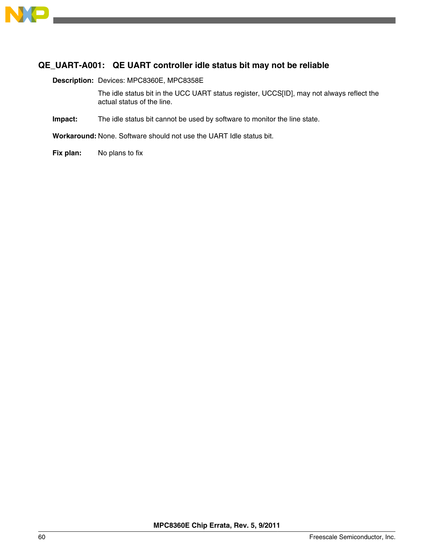

# **QE\_UART-A001: QE UART controller idle status bit may not be reliable**

**Description:** Devices: MPC8360E, MPC8358E

The idle status bit in the UCC UART status register, UCCS[ID], may not always reflect the actual status of the line.

**Impact:** The idle status bit cannot be used by software to monitor the line state.

**Workaround:** None. Software should not use the UART Idle status bit.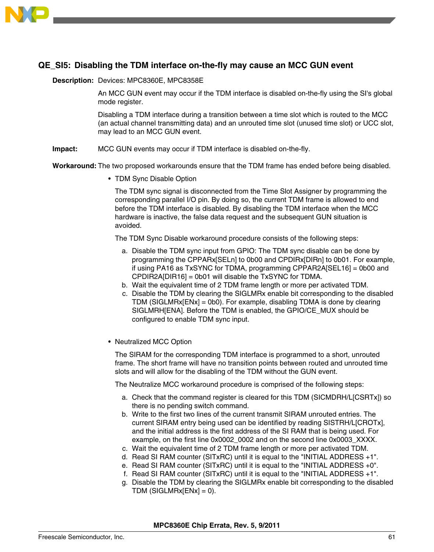

# **QE\_SI5: Disabling the TDM interface on-the-fly may cause an MCC GUN event**

#### **Description:** Devices: MPC8360E, MPC8358E

An MCC GUN event may occur if the TDM interface is disabled on-the-fly using the SI's global mode register.

Disabling a TDM interface during a transition between a time slot which is routed to the MCC (an actual channel transmitting data) and an unrouted time slot (unused time slot) or UCC slot, may lead to an MCC GUN event.

**Impact:** MCC GUN events may occur if TDM interface is disabled on-the-fly.

**Workaround:** The two proposed workarounds ensure that the TDM frame has ended before being disabled.

• TDM Sync Disable Option

The TDM sync signal is disconnected from the Time Slot Assigner by programming the corresponding parallel I/O pin. By doing so, the current TDM frame is allowed to end before the TDM interface is disabled. By disabling the TDM interface when the MCC hardware is inactive, the false data request and the subsequent GUN situation is avoided.

The TDM Sync Disable workaround procedure consists of the following steps:

- a. Disable the TDM sync input from GPIO: The TDM sync disable can be done by programming the CPPARx[SELn] to 0b00 and CPDIRx[DIRn] to 0b01. For example, if using PA16 as TxSYNC for TDMA, programming CPPAR2A[SEL16] = 0b00 and CPDIR2A[DIR16] = 0b01 will disable the TxSYNC for TDMA.
- b. Wait the equivalent time of 2 TDM frame length or more per activated TDM.
- c. Disable the TDM by clearing the SIGLMRx enable bit corresponding to the disabled TDM (SIGLMRx[ENx] = 0b0). For example, disabling TDMA is done by clearing SIGLMRH[ENA]. Before the TDM is enabled, the GPIO/CE\_MUX should be configured to enable TDM sync input.
- Neutralized MCC Option

The SIRAM for the corresponding TDM interface is programmed to a short, unrouted frame. The short frame will have no transition points between routed and unrouted time slots and will allow for the disabling of the TDM without the GUN event.

The Neutralize MCC workaround procedure is comprised of the following steps:

- a. Check that the command register is cleared for this TDM (SICMDRH/L[CSRTx]) so there is no pending switch command.
- b. Write to the first two lines of the current transmit SIRAM unrouted entries. The current SIRAM entry being used can be identified by reading SISTRH/L[CROTx], and the initial address is the first address of the SI RAM that is being used. For example, on the first line 0x0002\_0002 and on the second line 0x0003\_XXXX.
- c. Wait the equivalent time of 2 TDM frame length or more per activated TDM.
- d. Read SI RAM counter (SITxRC) until it is equal to the "INITIAL ADDRESS +1".
- e. Read SI RAM counter (SITxRC) until it is equal to the "INITIAL ADDRESS +0".
- f. Read SI RAM counter (SITxRC) until it is equal to the "INITIAL ADDRESS +1".
- g. Disable the TDM by clearing the SIGLMRx enable bit corresponding to the disabled TDM (SIGLMRx[ENx] = 0).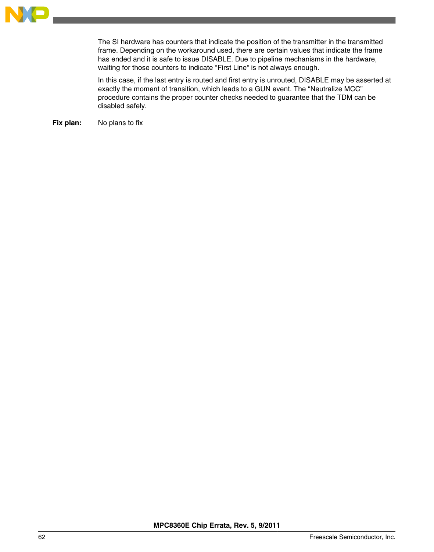

The SI hardware has counters that indicate the position of the transmitter in the transmitted frame. Depending on the workaround used, there are certain values that indicate the frame has ended and it is safe to issue DISABLE. Due to pipeline mechanisms in the hardware, waiting for those counters to indicate "First Line" is not always enough.

In this case, if the last entry is routed and first entry is unrouted, DISABLE may be asserted at exactly the moment of transition, which leads to a GUN event. The "Neutralize MCC" procedure contains the proper counter checks needed to guarantee that the TDM can be disabled safely.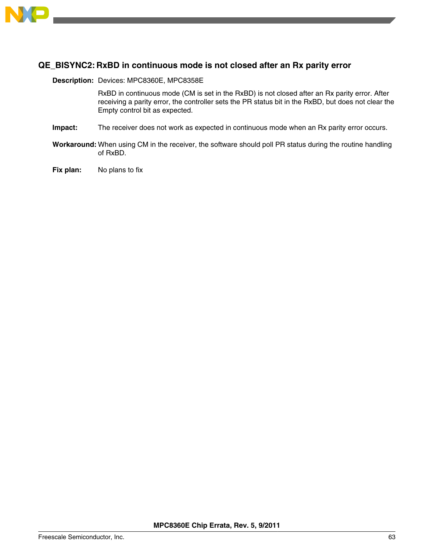

### **QE\_BISYNC2: RxBD in continuous mode is not closed after an Rx parity error**

#### **Description:** Devices: MPC8360E, MPC8358E

RxBD in continuous mode (CM is set in the RxBD) is not closed after an Rx parity error. After receiving a parity error, the controller sets the PR status bit in the RxBD, but does not clear the Empty control bit as expected.

- **Impact:** The receiver does not work as expected in continuous mode when an Rx parity error occurs.
- **Workaround:** When using CM in the receiver, the software should poll PR status during the routine handling of RxBD.
- **Fix plan:** No plans to fix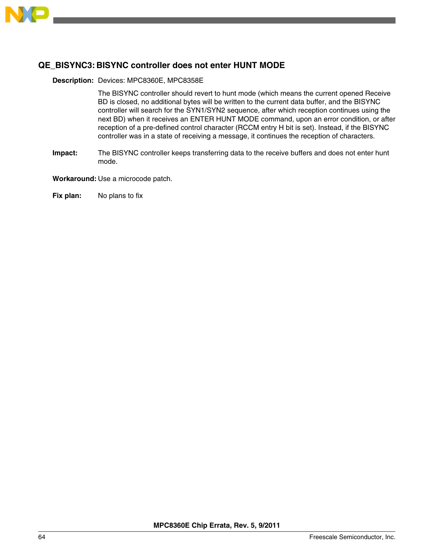

### **QE\_BISYNC3: BISYNC controller does not enter HUNT MODE**

#### **Description:** Devices: MPC8360E, MPC8358E

The BISYNC controller should revert to hunt mode (which means the current opened Receive BD is closed, no additional bytes will be written to the current data buffer, and the BISYNC controller will search for the SYN1/SYN2 sequence, after which reception continues using the next BD) when it receives an ENTER HUNT MODE command, upon an error condition, or after reception of a pre-defined control character (RCCM entry H bit is set). Instead, if the BISYNC controller was in a state of receiving a message, it continues the reception of characters.

**Impact:** The BISYNC controller keeps transferring data to the receive buffers and does not enter hunt mode.

**Workaround:** Use a microcode patch.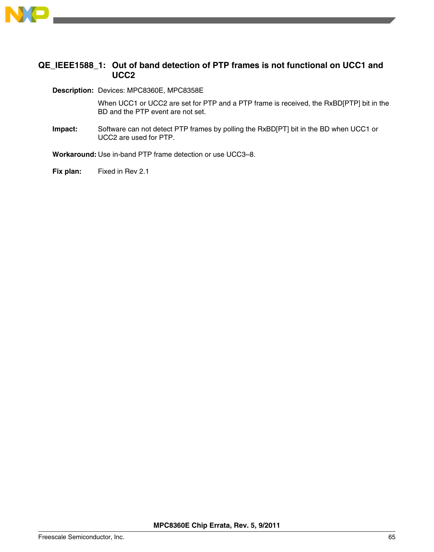

### **QE\_IEEE1588\_1: Out of band detection of PTP frames is not functional on UCC1 and UCC2**

**Description:** Devices: MPC8360E, MPC8358E

When UCC1 or UCC2 are set for PTP and a PTP frame is received, the RxBD[PTP] bit in the BD and the PTP event are not set.

**Impact:** Software can not detect PTP frames by polling the RxBD[PT] bit in the BD when UCC1 or UCC2 are used for PTP.

**Workaround:** Use in-band PTP frame detection or use UCC3–8.

**Fix plan:** Fixed in Rev 2.1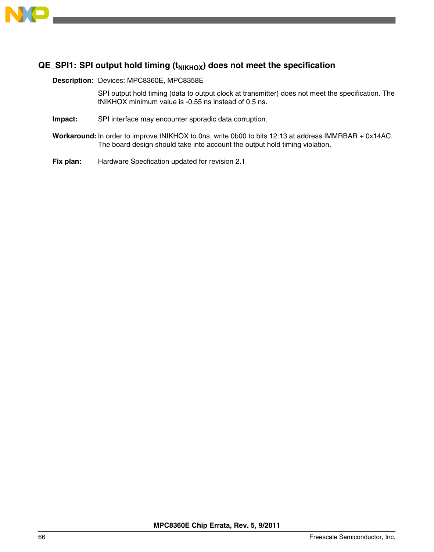

# **QE\_SPI1: SPI output hold timing (tNIKHOX) does not meet the specification**

**Description:** Devices: MPC8360E, MPC8358E

SPI output hold timing (data to output clock at transmitter) does not meet the specification. The tNIKHOX minimum value is -0.55 ns instead of 0.5 ns.

- **Impact:** SPI interface may encounter sporadic data corruption.
- **Workaround:** In order to improve tNIKHOX to 0ns, write 0b00 to bits 12:13 at address IMMRBAR + 0x14AC. The board design should take into account the output hold timing violation.
- **Fix plan:** Hardware Specfication updated for revision 2.1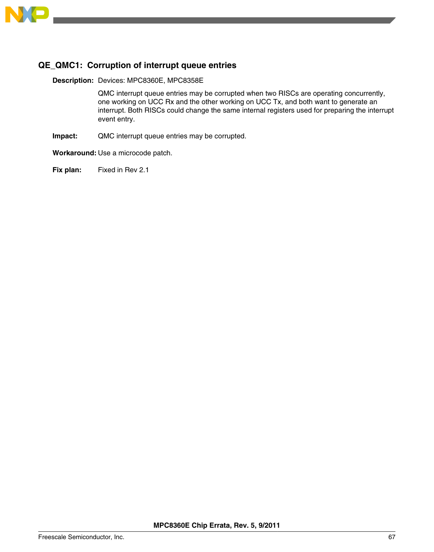

# **QE\_QMC1: Corruption of interrupt queue entries**

**Description:** Devices: MPC8360E, MPC8358E

QMC interrupt queue entries may be corrupted when two RISCs are operating concurrently, one working on UCC Rx and the other working on UCC Tx, and both want to generate an interrupt. Both RISCs could change the same internal registers used for preparing the interrupt event entry.

**Impact:** QMC interrupt queue entries may be corrupted.

**Workaround:** Use a microcode patch.

**Fix plan:** Fixed in Rev 2.1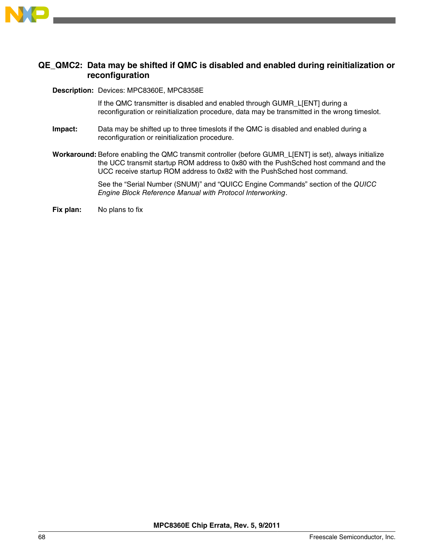

#### **QE\_QMC2: Data may be shifted if QMC is disabled and enabled during reinitialization or reconfiguration**

#### **Description:** Devices: MPC8360E, MPC8358E

If the QMC transmitter is disabled and enabled through GUMR\_L[ENT] during a reconfiguration or reinitialization procedure, data may be transmitted in the wrong timeslot.

- **Impact:** Data may be shifted up to three timeslots if the QMC is disabled and enabled during a reconfiguration or reinitialization procedure.
- **Workaround:** Before enabling the QMC transmit controller (before GUMR\_L[ENT] is set), always initialize the UCC transmit startup ROM address to 0x80 with the PushSched host command and the UCC receive startup ROM address to 0x82 with the PushSched host command.

See the "Serial Number (SNUM)" and "QUICC Engine Commands" section of the *QUICC Engine Block Reference Manual with Protocol Interworking*.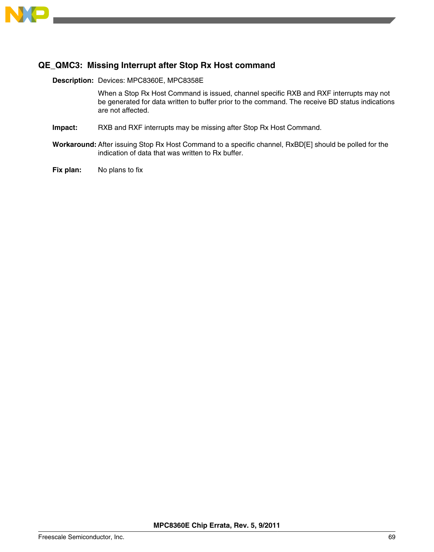

# **QE\_QMC3: Missing Interrupt after Stop Rx Host command**

**Description:** Devices: MPC8360E, MPC8358E

When a Stop Rx Host Command is issued, channel specific RXB and RXF interrupts may not be generated for data written to buffer prior to the command. The receive BD status indications are not affected.

- **Impact:** RXB and RXF interrupts may be missing after Stop Rx Host Command.
- **Workaround:** After issuing Stop Rx Host Command to a specific channel, RxBD[E] should be polled for the indication of data that was written to Rx buffer.
- **Fix plan:** No plans to fix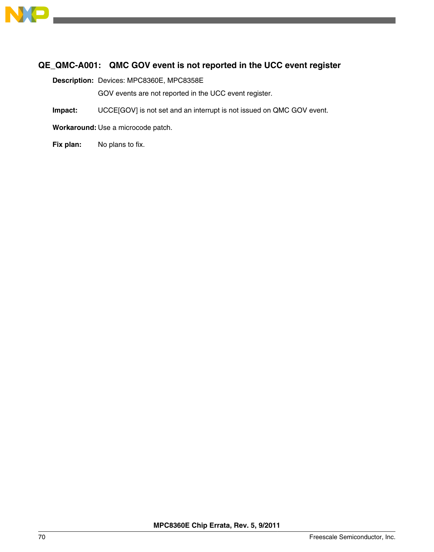

# **QE\_QMC-A001: QMC GOV event is not reported in the UCC event register**

**Description:** Devices: MPC8360E, MPC8358E

GOV events are not reported in the UCC event register.

**Impact:** UCCE[GOV] is not set and an interrupt is not issued on QMC GOV event.

**Workaround:** Use a microcode patch.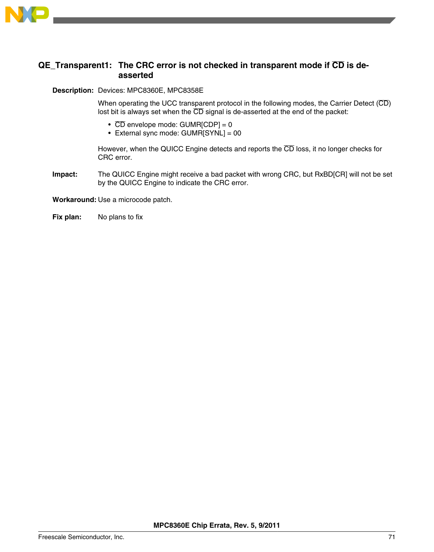

### **QE\_Transparent1: The CRC error is not checked in transparent mode if CD is deasserted**

**Description:** Devices: MPC8360E, MPC8358E

When operating the UCC transparent protocol in the following modes, the Carrier Detect ( $\overline{CD}$ ) lost bit is always set when the  $\overline{\text{CD}}$  signal is de-asserted at the end of the packet:

- $\overline{CD}$  envelope mode: GUMR[CDP] = 0
- External sync mode: GUMR[SYNL] = 00

However, when the QUICC Engine detects and reports the CD loss, it no longer checks for CRC error.

**Impact:** The QUICC Engine might receive a bad packet with wrong CRC, but RxBD[CR] will not be set by the QUICC Engine to indicate the CRC error.

**Workaround:** Use a microcode patch.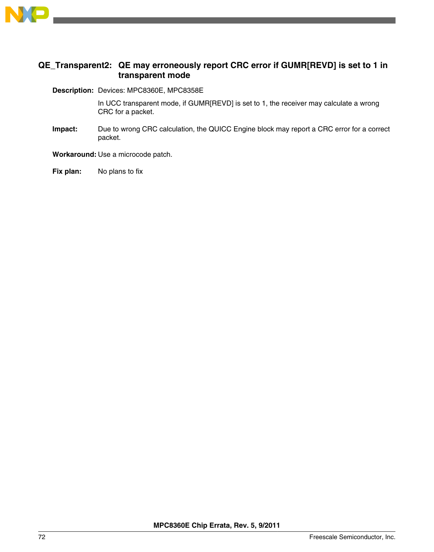

### **QE\_Transparent2: QE may erroneously report CRC error if GUMR[REVD] is set to 1 in transparent mode**

**Description:** Devices: MPC8360E, MPC8358E

In UCC transparent mode, if GUMR[REVD] is set to 1, the receiver may calculate a wrong CRC for a packet.

**Impact:** Due to wrong CRC calculation, the QUICC Engine block may report a CRC error for a correct packet.

**Workaround:** Use a microcode patch.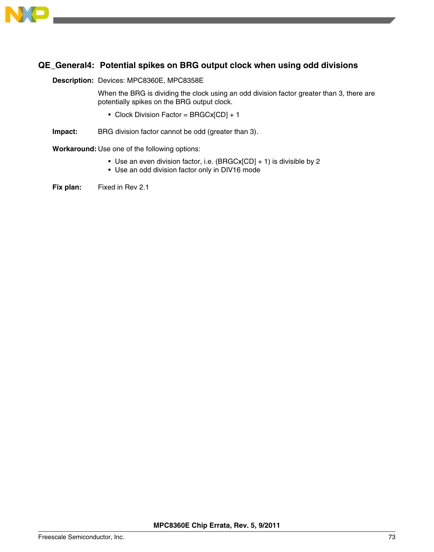

# **QE\_General4: Potential spikes on BRG output clock when using odd divisions**

## **Description:** Devices: MPC8360E, MPC8358E

When the BRG is dividing the clock using an odd division factor greater than 3, there are potentially spikes on the BRG output clock.

- Clock Division Factor = BRGCx[CD] + 1
- **Impact:** BRG division factor cannot be odd (greater than 3).

**Workaround:** Use one of the following options:

- Use an even division factor, i.e. (BRGCx[CD] + 1) is divisible by 2
- Use an odd division factor only in DIV16 mode

**Fix plan:** Fixed in Rev 2.1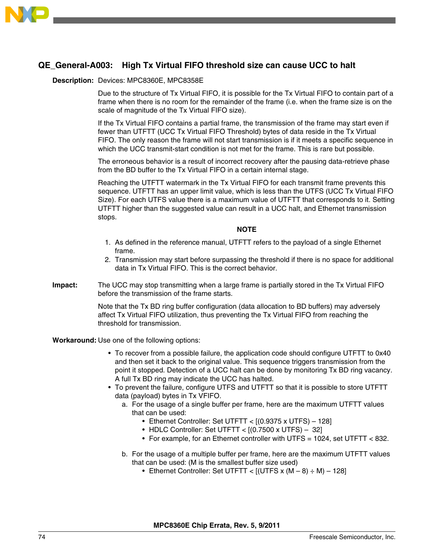

# **QE\_General-A003: High Tx Virtual FIFO threshold size can cause UCC to halt**

## **Description:** Devices: MPC8360E, MPC8358E

Due to the structure of Tx Virtual FIFO, it is possible for the Tx Virtual FIFO to contain part of a frame when there is no room for the remainder of the frame (i.e. when the frame size is on the scale of magnitude of the Tx Virtual FIFO size).

If the Tx Virtual FIFO contains a partial frame, the transmission of the frame may start even if fewer than UTFTT (UCC Tx Virtual FIFO Threshold) bytes of data reside in the Tx Virtual FIFO. The only reason the frame will not start transmission is if it meets a specific sequence in which the UCC transmit-start condition is not met for the frame. This is rare but possible.

The erroneous behavior is a result of incorrect recovery after the pausing data-retrieve phase from the BD buffer to the Tx Virtual FIFO in a certain internal stage.

Reaching the UTFTT watermark in the Tx Virtual FIFO for each transmit frame prevents this sequence. UTFTT has an upper limit value, which is less than the UTFS (UCC Tx Virtual FIFO Size). For each UTFS value there is a maximum value of UTFTT that corresponds to it. Setting UTFTT higher than the suggested value can result in a UCC halt, and Ethernet transmission stops.

**NOTE**

- 1. As defined in the reference manual, UTFTT refers to the payload of a single Ethernet frame.
- 2. Transmission may start before surpassing the threshold if there is no space for additional data in Tx Virtual FIFO. This is the correct behavior.
- **Impact:** The UCC may stop transmitting when a large frame is partially stored in the Tx Virtual FIFO before the transmission of the frame starts.

Note that the Tx BD ring buffer configuration (data allocation to BD buffers) may adversely affect Tx Virtual FIFO utilization, thus preventing the Tx Virtual FIFO from reaching the threshold for transmission.

### **Workaround:** Use one of the following options:

- To recover from a possible failure, the application code should configure UTFTT to 0x40 and then set it back to the original value. This sequence triggers transmission from the point it stopped. Detection of a UCC halt can be done by monitoring Tx BD ring vacancy. A full Tx BD ring may indicate the UCC has halted.
- To prevent the failure, configure UTFS and UTFTT so that it is possible to store UTFTT data (payload) bytes in Tx VFIFO.
	- a. For the usage of a single buffer per frame, here are the maximum UTFTT values that can be used:
		- Ethernet Controller: Set UTFTT < [(0.9375 x UTFS) 128]
		- HDLC Controller: Set UTFTT <  $[(0.7500 \times UTFS) 32]$
		- For example, for an Ethernet controller with UTFS = 1024, set UTFTT < 832.
	- b. For the usage of a multiple buffer per frame, here are the maximum UTFTT values that can be used: (M is the smallest buffer size used)
		- Ethernet Controller: Set UTFTT <  $[(UTFS x (M-8) \div M) 128]$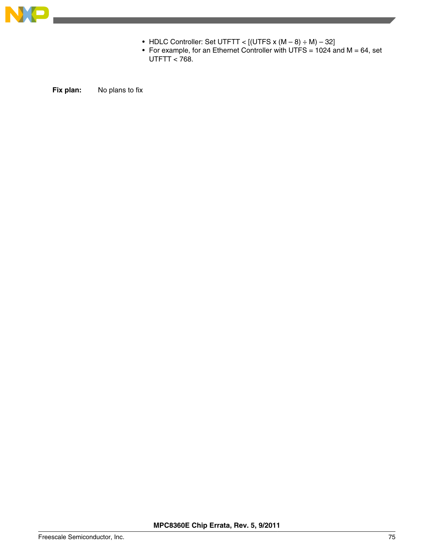

- HDLC Controller: Set UTFTT <  $[(UTFS x (M-8) ÷ M)-32]$
- For example, for an Ethernet Controller with UTFS = 1024 and  $M = 64$ , set UTFTT  $< 768$ .

**Fix plan:** No plans to fix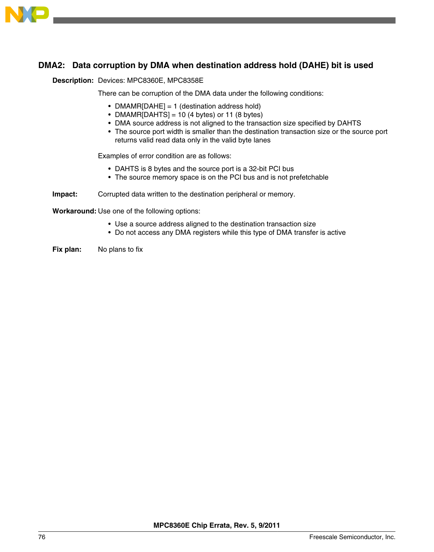

# **DMA2: Data corruption by DMA when destination address hold (DAHE) bit is used**

## **Description:** Devices: MPC8360E, MPC8358E

There can be corruption of the DMA data under the following conditions:

- DMAMR[DAHE] = 1 (destination address hold)
- DMAMR[DAHTS] = 10 (4 bytes) or 11 (8 bytes)
- DMA source address is not aligned to the transaction size specified by DAHTS
- The source port width is smaller than the destination transaction size or the source port returns valid read data only in the valid byte lanes

Examples of error condition are as follows:

- DAHTS is 8 bytes and the source port is a 32-bit PCI bus
- The source memory space is on the PCI bus and is not prefetchable

### **Impact:** Corrupted data written to the destination peripheral or memory.

**Workaround:** Use one of the following options:

- Use a source address aligned to the destination transaction size
- Do not access any DMA registers while this type of DMA transfer is active
- **Fix plan:** No plans to fix